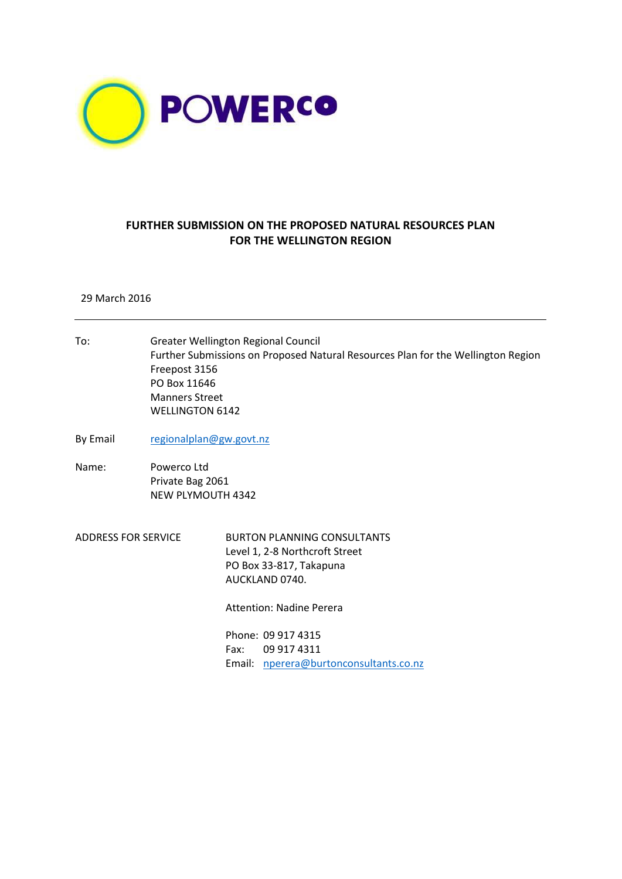

## **FURTHER SUBMISSION ON THE PROPOSED NATURAL RESOURCES PLAN FOR THE WELLINGTON REGION**

## 29 March 2016

To: Greater Wellington Regional Council Further Submissions on Proposed Natural Resources Plan for the Wellington Region Freepost 3156 PO Box 11646 Manners Street WELLINGTON 6142 By Email [regionalplan@gw.govt.nz](mailto:regionalplan@gw.govt.nz) Name: Powerco Ltd Private Bag 2061 NEW PLYMOUTH 4342 ADDRESS FOR SERVICE BURTON PLANNING CONSULTANTS Level 1, 2-8 Northcroft Street PO Box 33-817, Takapuna AUCKLAND 0740. Attention: Nadine Perera Phone: 09 917 4315 Fax: 09 917 4311 Email: [nperera@burtonconsultants.co.nz](mailto:nperera@burtonconsultants.co.nz)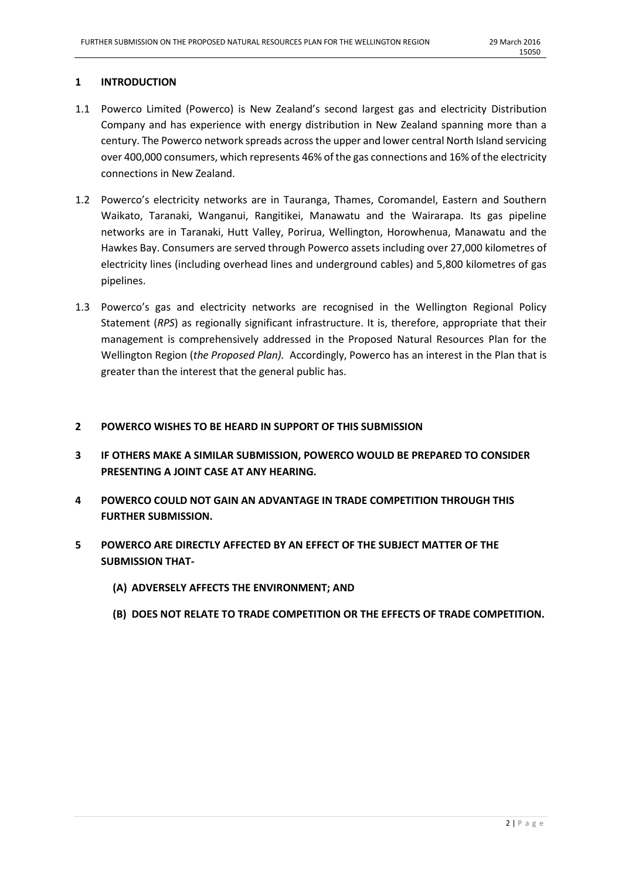## **1 INTRODUCTION**

- 1.1 Powerco Limited (Powerco) is New Zealand's second largest gas and electricity Distribution Company and has experience with energy distribution in New Zealand spanning more than a century. The Powerco network spreads across the upper and lower central North Island servicing over 400,000 consumers, which represents 46% of the gas connections and 16% of the electricity connections in New Zealand.
- 1.2 Powerco's electricity networks are in Tauranga, Thames, Coromandel, Eastern and Southern Waikato, Taranaki, Wanganui, Rangitikei, Manawatu and the Wairarapa. Its gas pipeline networks are in Taranaki, Hutt Valley, Porirua, Wellington, Horowhenua, Manawatu and the Hawkes Bay. Consumers are served through Powerco assets including over 27,000 kilometres of electricity lines (including overhead lines and underground cables) and 5,800 kilometres of gas pipelines.
- 1.3 Powerco's gas and electricity networks are recognised in the Wellington Regional Policy Statement (*RPS*) as regionally significant infrastructure. It is, therefore, appropriate that their management is comprehensively addressed in the Proposed Natural Resources Plan for the Wellington Region (*the Proposed Plan).* Accordingly, Powerco has an interest in the Plan that is greater than the interest that the general public has.

## **2 POWERCO WISHES TO BE HEARD IN SUPPORT OF THIS SUBMISSION**

- **3 IF OTHERS MAKE A SIMILAR SUBMISSION, POWERCO WOULD BE PREPARED TO CONSIDER PRESENTING A JOINT CASE AT ANY HEARING.**
- **4 POWERCO COULD NOT GAIN AN ADVANTAGE IN TRADE COMPETITION THROUGH THIS FURTHER SUBMISSION.**
- **5 POWERCO ARE DIRECTLY AFFECTED BY AN EFFECT OF THE SUBJECT MATTER OF THE SUBMISSION THAT-**
	- **(A) ADVERSELY AFFECTS THE ENVIRONMENT; AND**
	- **(B) DOES NOT RELATE TO TRADE COMPETITION OR THE EFFECTS OF TRADE COMPETITION.**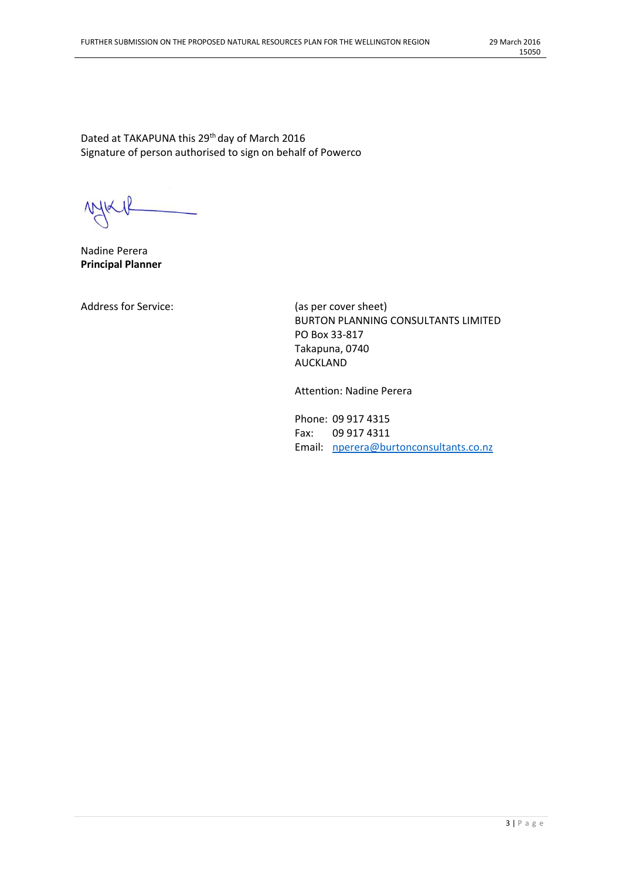Dated at TAKAPUNA this 29<sup>th</sup> day of March 2016 Signature of person authorised to sign on behalf of Powerco

 $M_{\textrm{K}}$ 

Nadine Perera **Principal Planner**

Address for Service: (as per cover sheet)

BURTON PLANNING CONSULTANTS LIMITED PO Box 33-817 Takapuna, 0740 AUCKLAND

Attention: Nadine Perera

Phone: 09 917 4315 Fax: 09 917 4311 Email: [nperera@burtonconsultants.co.nz](mailto:nperera@burtonconsultants.co.nz)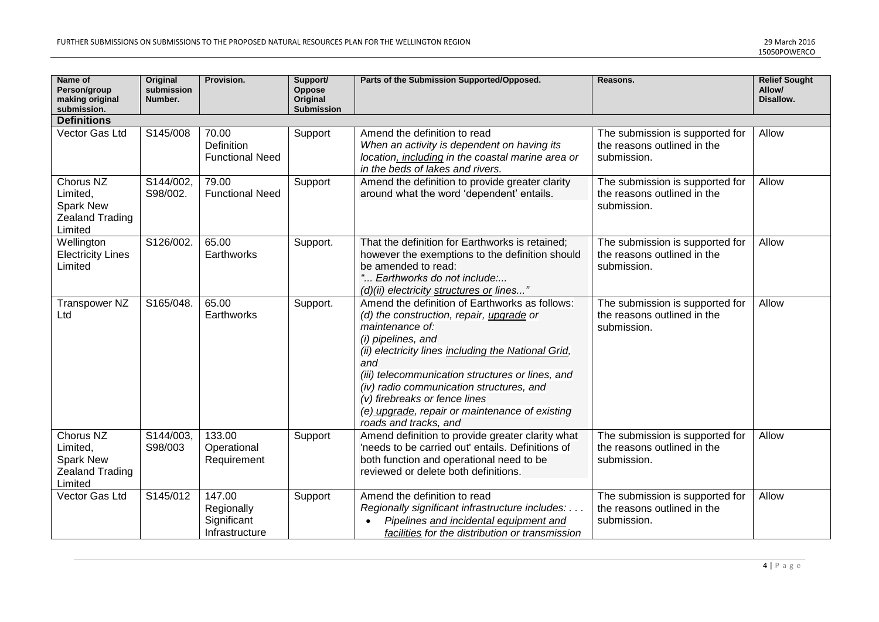| Name of<br>Person/group<br>making original<br>submission.                      | <b>Original</b><br>submission<br>Number. | Provision.                                            | Support/<br>Oppose<br>Original<br><b>Submission</b> | Parts of the Submission Supported/Opposed.                                                                                                                                                                                                                                                                                                                                                                    | Reasons.                                                                      | <b>Relief Sought</b><br>Allow/<br>Disallow. |
|--------------------------------------------------------------------------------|------------------------------------------|-------------------------------------------------------|-----------------------------------------------------|---------------------------------------------------------------------------------------------------------------------------------------------------------------------------------------------------------------------------------------------------------------------------------------------------------------------------------------------------------------------------------------------------------------|-------------------------------------------------------------------------------|---------------------------------------------|
| <b>Definitions</b>                                                             |                                          |                                                       |                                                     |                                                                                                                                                                                                                                                                                                                                                                                                               |                                                                               |                                             |
| Vector Gas Ltd                                                                 | S145/008                                 | 70.00<br>Definition<br><b>Functional Need</b>         | Support                                             | Amend the definition to read<br>When an activity is dependent on having its<br>location, including in the coastal marine area or<br>in the beds of lakes and rivers.                                                                                                                                                                                                                                          | The submission is supported for<br>the reasons outlined in the<br>submission. | Allow                                       |
| Chorus NZ<br>Limited,<br>Spark New<br><b>Zealand Trading</b><br>Limited        | S144/002,<br>S98/002.                    | 79.00<br><b>Functional Need</b>                       | Support                                             | Amend the definition to provide greater clarity<br>around what the word 'dependent' entails.                                                                                                                                                                                                                                                                                                                  | The submission is supported for<br>the reasons outlined in the<br>submission. | Allow                                       |
| Wellington<br><b>Electricity Lines</b><br>Limited                              | S126/002.                                | 65.00<br>Earthworks                                   | Support.                                            | That the definition for Earthworks is retained;<br>however the exemptions to the definition should<br>be amended to read:<br>" Earthworks do not include:<br>$(d)(ii)$ electricity structures or lines"                                                                                                                                                                                                       | The submission is supported for<br>the reasons outlined in the<br>submission. | Allow                                       |
| Transpower NZ<br>Ltd                                                           | S165/048.                                | 65.00<br>Earthworks                                   | Support.                                            | Amend the definition of Earthworks as follows:<br>(d) the construction, repair, upgrade or<br>maintenance of:<br>(i) pipelines, and<br>(ii) electricity lines including the National Grid,<br>and<br>(iii) telecommunication structures or lines, and<br>(iv) radio communication structures, and<br>(v) firebreaks or fence lines<br>(e) upgrade, repair or maintenance of existing<br>roads and tracks, and | The submission is supported for<br>the reasons outlined in the<br>submission. | Allow                                       |
| Chorus NZ<br>Limited,<br><b>Spark New</b><br><b>Zealand Trading</b><br>Limited | S144/003,<br>S98/003                     | 133.00<br>Operational<br>Requirement                  | Support                                             | Amend definition to provide greater clarity what<br>'needs to be carried out' entails. Definitions of<br>both function and operational need to be<br>reviewed or delete both definitions.                                                                                                                                                                                                                     | The submission is supported for<br>the reasons outlined in the<br>submission. | Allow                                       |
| Vector Gas Ltd                                                                 | S145/012                                 | 147.00<br>Regionally<br>Significant<br>Infrastructure | Support                                             | Amend the definition to read<br>Regionally significant infrastructure includes:<br>Pipelines and incidental equipment and<br>$\bullet$<br>facilities for the distribution or transmission                                                                                                                                                                                                                     | The submission is supported for<br>the reasons outlined in the<br>submission. | Allow                                       |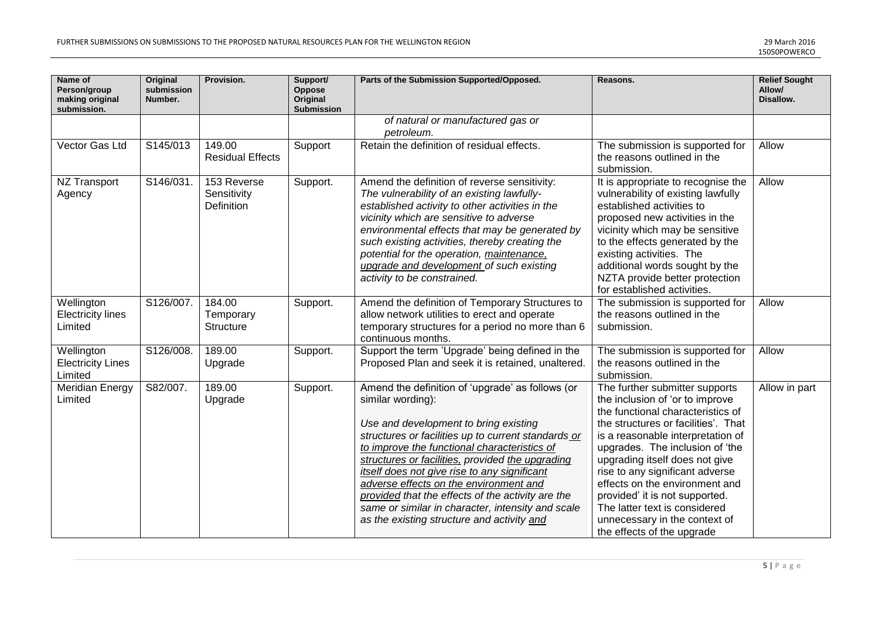| Name of<br>Person/group<br>making original<br>submission. | <b>Original</b><br>submission<br>Number. | Provision.                               | Support/<br><b>Oppose</b><br>Original<br><b>Submission</b> | Parts of the Submission Supported/Opposed.                                                                                                                                                                                                                                                                                                                                                                                                                                                                                  | Reasons.                                                                                                                                                                                                                                                                                                                                                                                                                                                       | <b>Relief Sought</b><br>Allow/<br>Disallow. |
|-----------------------------------------------------------|------------------------------------------|------------------------------------------|------------------------------------------------------------|-----------------------------------------------------------------------------------------------------------------------------------------------------------------------------------------------------------------------------------------------------------------------------------------------------------------------------------------------------------------------------------------------------------------------------------------------------------------------------------------------------------------------------|----------------------------------------------------------------------------------------------------------------------------------------------------------------------------------------------------------------------------------------------------------------------------------------------------------------------------------------------------------------------------------------------------------------------------------------------------------------|---------------------------------------------|
|                                                           |                                          |                                          |                                                            | of natural or manufactured gas or<br>petroleum.                                                                                                                                                                                                                                                                                                                                                                                                                                                                             |                                                                                                                                                                                                                                                                                                                                                                                                                                                                |                                             |
| Vector Gas Ltd                                            | S145/013                                 | 149.00<br><b>Residual Effects</b>        | Support                                                    | Retain the definition of residual effects.                                                                                                                                                                                                                                                                                                                                                                                                                                                                                  | The submission is supported for<br>the reasons outlined in the<br>submission.                                                                                                                                                                                                                                                                                                                                                                                  | Allow                                       |
| NZ Transport<br>Agency                                    | S146/031.                                | 153 Reverse<br>Sensitivity<br>Definition | Support.                                                   | Amend the definition of reverse sensitivity:<br>The vulnerability of an existing lawfully-<br>established activity to other activities in the<br>vicinity which are sensitive to adverse<br>environmental effects that may be generated by<br>such existing activities, thereby creating the<br>potential for the operation, maintenance,<br>upgrade and development of such existing<br>activity to be constrained.                                                                                                        | It is appropriate to recognise the<br>vulnerability of existing lawfully<br>established activities to<br>proposed new activities in the<br>vicinity which may be sensitive<br>to the effects generated by the<br>existing activities. The<br>additional words sought by the<br>NZTA provide better protection<br>for established activities.                                                                                                                   | Allow                                       |
| Wellington<br><b>Electricity lines</b><br>Limited         | S126/007.                                | 184.00<br>Temporary<br><b>Structure</b>  | Support.                                                   | Amend the definition of Temporary Structures to<br>allow network utilities to erect and operate<br>temporary structures for a period no more than 6<br>continuous months.                                                                                                                                                                                                                                                                                                                                                   | The submission is supported for<br>the reasons outlined in the<br>submission.                                                                                                                                                                                                                                                                                                                                                                                  | Allow                                       |
| Wellington<br><b>Electricity Lines</b><br>Limited         | S126/008.                                | 189.00<br>Upgrade                        | Support.                                                   | Support the term 'Upgrade' being defined in the<br>Proposed Plan and seek it is retained, unaltered.                                                                                                                                                                                                                                                                                                                                                                                                                        | The submission is supported for<br>the reasons outlined in the<br>submission.                                                                                                                                                                                                                                                                                                                                                                                  | Allow                                       |
| <b>Meridian Energy</b><br>Limited                         | S82/007.                                 | 189.00<br>Upgrade                        | Support.                                                   | Amend the definition of 'upgrade' as follows (or<br>similar wording):<br>Use and development to bring existing<br>structures or facilities up to current standards or<br>to improve the functional characteristics of<br>structures or facilities, provided the upgrading<br>itself does not give rise to any significant<br>adverse effects on the environment and<br>provided that the effects of the activity are the<br>same or similar in character, intensity and scale<br>as the existing structure and activity and | The further submitter supports<br>the inclusion of 'or to improve<br>the functional characteristics of<br>the structures or facilities'. That<br>is a reasonable interpretation of<br>upgrades. The inclusion of 'the<br>upgrading itself does not give<br>rise to any significant adverse<br>effects on the environment and<br>provided' it is not supported.<br>The latter text is considered<br>unnecessary in the context of<br>the effects of the upgrade | Allow in part                               |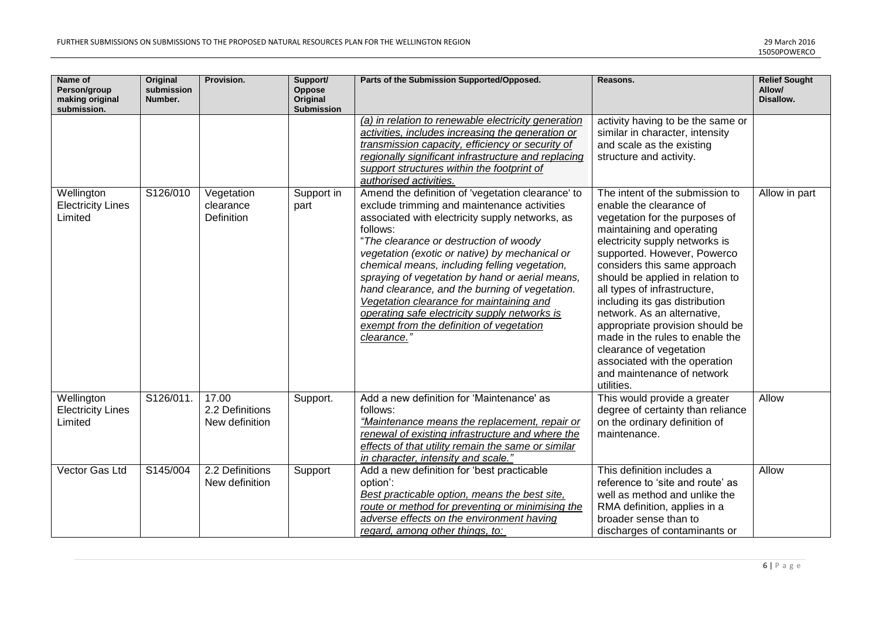| Name of<br>Person/group<br>making original<br>submission. | <b>Original</b><br>submission<br>Number. | Provision.                                 | Support/<br>Oppose<br>Original<br>Submission | Parts of the Submission Supported/Opposed.                                                                                                                                                                                                                                                                                                                                                                                                                                                                                                                                | Reasons.                                                                                                                                                                                                                                                                                                                                                                                                                                                                                                                                      | <b>Relief Sought</b><br>Allow/<br>Disallow. |
|-----------------------------------------------------------|------------------------------------------|--------------------------------------------|----------------------------------------------|---------------------------------------------------------------------------------------------------------------------------------------------------------------------------------------------------------------------------------------------------------------------------------------------------------------------------------------------------------------------------------------------------------------------------------------------------------------------------------------------------------------------------------------------------------------------------|-----------------------------------------------------------------------------------------------------------------------------------------------------------------------------------------------------------------------------------------------------------------------------------------------------------------------------------------------------------------------------------------------------------------------------------------------------------------------------------------------------------------------------------------------|---------------------------------------------|
|                                                           |                                          |                                            |                                              | (a) in relation to renewable electricity generation<br>activities, includes increasing the generation or<br>transmission capacity, efficiency or security of<br>regionally significant infrastructure and replacing<br>support structures within the footprint of<br>authorised activities.                                                                                                                                                                                                                                                                               | activity having to be the same or<br>similar in character, intensity<br>and scale as the existing<br>structure and activity.                                                                                                                                                                                                                                                                                                                                                                                                                  |                                             |
| Wellington<br><b>Electricity Lines</b><br>Limited         | S126/010                                 | Vegetation<br>clearance<br>Definition      | Support in<br>part                           | Amend the definition of 'vegetation clearance' to<br>exclude trimming and maintenance activities<br>associated with electricity supply networks, as<br>follows:<br>"The clearance or destruction of woody<br>vegetation (exotic or native) by mechanical or<br>chemical means, including felling vegetation,<br>spraying of vegetation by hand or aerial means,<br>hand clearance, and the burning of vegetation.<br>Vegetation clearance for maintaining and<br>operating safe electricity supply networks is<br>exempt from the definition of vegetation<br>clearance." | The intent of the submission to<br>enable the clearance of<br>vegetation for the purposes of<br>maintaining and operating<br>electricity supply networks is<br>supported. However, Powerco<br>considers this same approach<br>should be applied in relation to<br>all types of infrastructure,<br>including its gas distribution<br>network. As an alternative,<br>appropriate provision should be<br>made in the rules to enable the<br>clearance of vegetation<br>associated with the operation<br>and maintenance of network<br>utilities. | Allow in part                               |
| Wellington<br><b>Electricity Lines</b><br>Limited         | S126/011.                                | 17.00<br>2.2 Definitions<br>New definition | Support.                                     | Add a new definition for 'Maintenance' as<br>follows:<br>"Maintenance means the replacement, repair or<br>renewal of existing infrastructure and where the<br>effects of that utility remain the same or similar<br>in character, intensity and scale."                                                                                                                                                                                                                                                                                                                   | This would provide a greater<br>degree of certainty than reliance<br>on the ordinary definition of<br>maintenance.                                                                                                                                                                                                                                                                                                                                                                                                                            | Allow                                       |
| Vector Gas Ltd                                            | S145/004                                 | 2.2 Definitions<br>New definition          | Support                                      | Add a new definition for 'best practicable<br>option':<br>Best practicable option, means the best site,<br>route or method for preventing or minimising the<br>adverse effects on the environment having<br>regard, among other things, to:                                                                                                                                                                                                                                                                                                                               | This definition includes a<br>reference to 'site and route' as<br>well as method and unlike the<br>RMA definition, applies in a<br>broader sense than to<br>discharges of contaminants or                                                                                                                                                                                                                                                                                                                                                     | Allow                                       |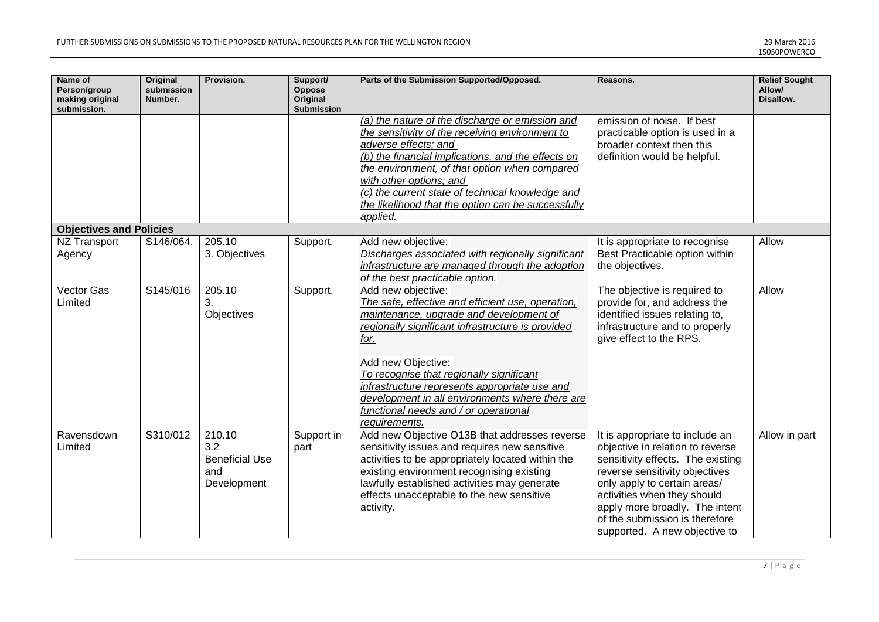| Name of<br>Person/group<br>making original<br>submission. | <b>Original</b><br>submission<br>Number. | Provision.                                                   | Support/<br>Oppose<br>Original<br>Submission | Parts of the Submission Supported/Opposed.                                                                                                                                                                                                                                                                                                                                         | Reasons.                                                                                                                                                                                                                                                                                                       | <b>Relief Sought</b><br>Allow/<br>Disallow. |
|-----------------------------------------------------------|------------------------------------------|--------------------------------------------------------------|----------------------------------------------|------------------------------------------------------------------------------------------------------------------------------------------------------------------------------------------------------------------------------------------------------------------------------------------------------------------------------------------------------------------------------------|----------------------------------------------------------------------------------------------------------------------------------------------------------------------------------------------------------------------------------------------------------------------------------------------------------------|---------------------------------------------|
|                                                           |                                          |                                                              |                                              | (a) the nature of the discharge or emission and<br>the sensitivity of the receiving environment to<br>adverse effects; and<br>(b) the financial implications, and the effects on<br>the environment, of that option when compared<br>with other options; and<br>(c) the current state of technical knowledge and<br>the likelihood that the option can be successfully<br>applied. | emission of noise. If best<br>practicable option is used in a<br>broader context then this<br>definition would be helpful.                                                                                                                                                                                     |                                             |
| <b>Objectives and Policies</b>                            |                                          |                                                              |                                              |                                                                                                                                                                                                                                                                                                                                                                                    |                                                                                                                                                                                                                                                                                                                |                                             |
| NZ Transport<br>Agency                                    | S146/064.                                | 205.10<br>3. Objectives                                      | Support.                                     | Add new objective:<br>Discharges associated with regionally significant<br>infrastructure are managed through the adoption<br>of the best practicable option.                                                                                                                                                                                                                      | It is appropriate to recognise<br>Best Practicable option within<br>the objectives.                                                                                                                                                                                                                            | Allow                                       |
| Vector Gas<br>Limited                                     | S145/016                                 | 205.10<br>3.<br>Objectives                                   | Support.                                     | Add new objective:<br>The safe, effective and efficient use, operation,<br>maintenance, upgrade and development of<br>regionally significant infrastructure is provided<br>for.<br>Add new Objective:                                                                                                                                                                              | The objective is required to<br>provide for, and address the<br>identified issues relating to,<br>infrastructure and to properly<br>give effect to the RPS.                                                                                                                                                    | Allow                                       |
|                                                           |                                          |                                                              |                                              | To recognise that regionally significant<br>infrastructure represents appropriate use and<br>development in all environments where there are<br>functional needs and / or operational<br>requirements.                                                                                                                                                                             |                                                                                                                                                                                                                                                                                                                |                                             |
| Ravensdown<br>Limited                                     | S310/012                                 | 210.10<br>3.2<br><b>Beneficial Use</b><br>and<br>Development | Support in<br>part                           | Add new Objective O13B that addresses reverse<br>sensitivity issues and requires new sensitive<br>activities to be appropriately located within the<br>existing environment recognising existing<br>lawfully established activities may generate<br>effects unacceptable to the new sensitive<br>activity.                                                                         | It is appropriate to include an<br>objective in relation to reverse<br>sensitivity effects. The existing<br>reverse sensitivity objectives<br>only apply to certain areas/<br>activities when they should<br>apply more broadly. The intent<br>of the submission is therefore<br>supported. A new objective to | Allow in part                               |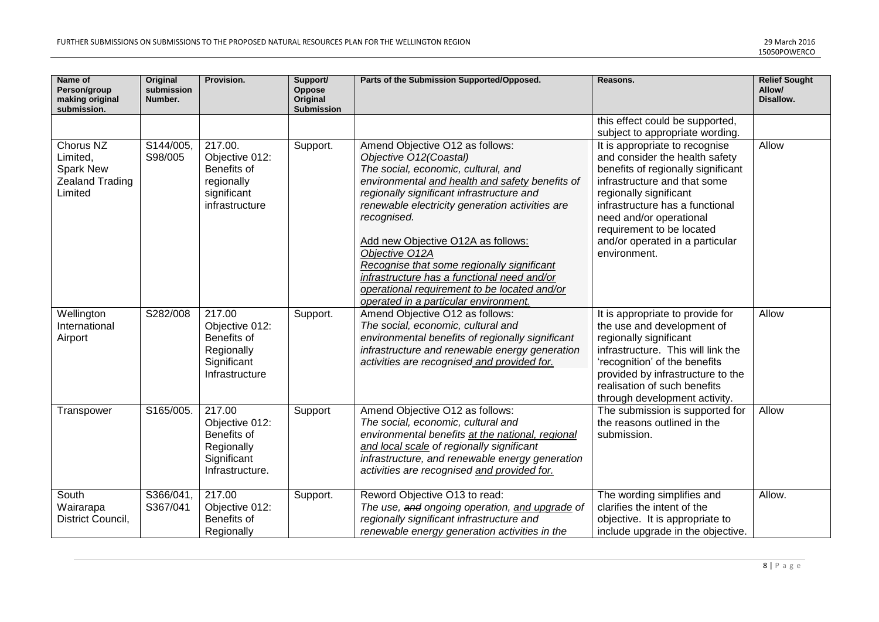| Name of<br>Person/group<br>making original<br>submission.               | <b>Original</b><br>submission<br>Number. | Provision.                                                                              | Support/<br>Oppose<br>Original<br><b>Submission</b> | Parts of the Submission Supported/Opposed.                                                                                                                                                                                                                                                                                                                                                                                                                                                                       | Reasons.                                                                                                                                                                                                                                                                                                       | <b>Relief Sought</b><br>Allow/<br>Disallow. |
|-------------------------------------------------------------------------|------------------------------------------|-----------------------------------------------------------------------------------------|-----------------------------------------------------|------------------------------------------------------------------------------------------------------------------------------------------------------------------------------------------------------------------------------------------------------------------------------------------------------------------------------------------------------------------------------------------------------------------------------------------------------------------------------------------------------------------|----------------------------------------------------------------------------------------------------------------------------------------------------------------------------------------------------------------------------------------------------------------------------------------------------------------|---------------------------------------------|
|                                                                         |                                          |                                                                                         |                                                     |                                                                                                                                                                                                                                                                                                                                                                                                                                                                                                                  | this effect could be supported,<br>subject to appropriate wording.                                                                                                                                                                                                                                             |                                             |
| Chorus NZ<br>Limited,<br>Spark New<br><b>Zealand Trading</b><br>Limited | S144/005,<br>S98/005                     | 217.00.<br>Objective 012:<br>Benefits of<br>regionally<br>significant<br>infrastructure | Support.                                            | Amend Objective O12 as follows:<br>Objective O12(Coastal)<br>The social, economic, cultural, and<br>environmental and health and safety benefits of<br>regionally significant infrastructure and<br>renewable electricity generation activities are<br>recognised.<br>Add new Objective O12A as follows:<br>Objective O12A<br>Recognise that some regionally significant<br>infrastructure has a functional need and/or<br>operational requirement to be located and/or<br>operated in a particular environment. | It is appropriate to recognise<br>and consider the health safety<br>benefits of regionally significant<br>infrastructure and that some<br>regionally significant<br>infrastructure has a functional<br>need and/or operational<br>requirement to be located<br>and/or operated in a particular<br>environment. | Allow                                       |
| Wellington<br>International<br>Airport                                  | S282/008                                 | 217.00<br>Objective 012:<br>Benefits of<br>Regionally<br>Significant<br>Infrastructure  | Support.                                            | Amend Objective O12 as follows:<br>The social, economic, cultural and<br>environmental benefits of regionally significant<br>infrastructure and renewable energy generation<br>activities are recognised and provided for.                                                                                                                                                                                                                                                                                       | It is appropriate to provide for<br>the use and development of<br>regionally significant<br>infrastructure. This will link the<br>'recognition' of the benefits<br>provided by infrastructure to the<br>realisation of such benefits<br>through development activity.                                          | Allow                                       |
| Transpower                                                              | S165/005.                                | 217.00<br>Objective 012:<br>Benefits of<br>Regionally<br>Significant<br>Infrastructure. | Support                                             | Amend Objective O12 as follows:<br>The social, economic, cultural and<br>environmental benefits at the national, regional<br>and local scale of regionally significant<br>infrastructure, and renewable energy generation<br>activities are recognised and provided for.                                                                                                                                                                                                                                         | The submission is supported for<br>the reasons outlined in the<br>submission.                                                                                                                                                                                                                                  | Allow                                       |
| South<br>Wairarapa<br>District Council,                                 | S366/041,<br>S367/041                    | 217.00<br>Objective 012:<br>Benefits of<br>Regionally                                   | Support.                                            | Reword Objective O13 to read:<br>The use, and ongoing operation, and upgrade of<br>regionally significant infrastructure and<br>renewable energy generation activities in the                                                                                                                                                                                                                                                                                                                                    | The wording simplifies and<br>clarifies the intent of the<br>objective. It is appropriate to<br>include upgrade in the objective.                                                                                                                                                                              | Allow.                                      |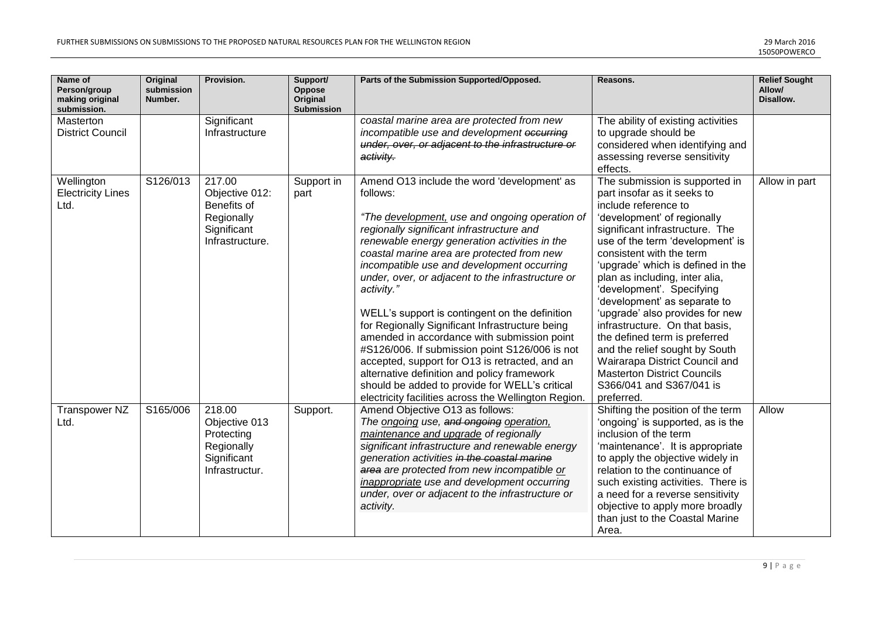| Name of<br>Person/group<br>making original<br>submission. | Original<br>submission<br>Number. | Provision.                                                                              | Support/<br>Oppose<br>Original<br><b>Submission</b> | Parts of the Submission Supported/Opposed.                                                                                                                                                                                                                                                                                                                                                                                                                                                                                                                                                                                                                                                                                                                                              | Reasons.                                                                                                                                                                                                                                                                                                                                                                                                                                                                                                                                                                                                              | <b>Relief Sought</b><br>Allow/<br>Disallow. |
|-----------------------------------------------------------|-----------------------------------|-----------------------------------------------------------------------------------------|-----------------------------------------------------|-----------------------------------------------------------------------------------------------------------------------------------------------------------------------------------------------------------------------------------------------------------------------------------------------------------------------------------------------------------------------------------------------------------------------------------------------------------------------------------------------------------------------------------------------------------------------------------------------------------------------------------------------------------------------------------------------------------------------------------------------------------------------------------------|-----------------------------------------------------------------------------------------------------------------------------------------------------------------------------------------------------------------------------------------------------------------------------------------------------------------------------------------------------------------------------------------------------------------------------------------------------------------------------------------------------------------------------------------------------------------------------------------------------------------------|---------------------------------------------|
| Masterton<br><b>District Council</b>                      |                                   | Significant<br>Infrastructure                                                           |                                                     | coastal marine area are protected from new<br>incompatible use and development occurring<br>under, over, or adjacent to the infrastructure or<br>activity.                                                                                                                                                                                                                                                                                                                                                                                                                                                                                                                                                                                                                              | The ability of existing activities<br>to upgrade should be<br>considered when identifying and<br>assessing reverse sensitivity<br>effects.                                                                                                                                                                                                                                                                                                                                                                                                                                                                            |                                             |
| Wellington<br><b>Electricity Lines</b><br>Ltd.            | S126/013                          | 217.00<br>Objective 012:<br>Benefits of<br>Regionally<br>Significant<br>Infrastructure. | Support in<br>part                                  | Amend O13 include the word 'development' as<br>follows:<br>"The development, use and ongoing operation of<br>regionally significant infrastructure and<br>renewable energy generation activities in the<br>coastal marine area are protected from new<br>incompatible use and development occurring<br>under, over, or adjacent to the infrastructure or<br>activity."<br>WELL's support is contingent on the definition<br>for Regionally Significant Infrastructure being<br>amended in accordance with submission point<br>#S126/006. If submission point S126/006 is not<br>accepted, support for O13 is retracted, and an<br>alternative definition and policy framework<br>should be added to provide for WELL's critical<br>electricity facilities across the Wellington Region. | The submission is supported in<br>part insofar as it seeks to<br>include reference to<br>'development' of regionally<br>significant infrastructure. The<br>use of the term 'development' is<br>consistent with the term<br>'upgrade' which is defined in the<br>plan as including, inter alia,<br>'development'. Specifying<br>'development' as separate to<br>'upgrade' also provides for new<br>infrastructure. On that basis,<br>the defined term is preferred<br>and the relief sought by South<br>Wairarapa District Council and<br><b>Masterton District Councils</b><br>S366/041 and S367/041 is<br>preferred. | Allow in part                               |
| <b>Transpower NZ</b><br>Ltd.                              | S165/006                          | 218.00<br>Objective 013<br>Protecting<br>Regionally<br>Significant<br>Infrastructur.    | Support.                                            | Amend Objective O13 as follows:<br>The ongoing use, and ongoing operation,<br>maintenance and upgrade of regionally<br>significant infrastructure and renewable energy<br>generation activities in the coastal marine<br>area are protected from new incompatible or<br>inappropriate use and development occurring<br>under, over or adjacent to the infrastructure or<br>activity.                                                                                                                                                                                                                                                                                                                                                                                                    | Shifting the position of the term<br>'ongoing' is supported, as is the<br>inclusion of the term<br>'maintenance'. It is appropriate<br>to apply the objective widely in<br>relation to the continuance of<br>such existing activities. There is<br>a need for a reverse sensitivity<br>objective to apply more broadly<br>than just to the Coastal Marine<br>Area.                                                                                                                                                                                                                                                    | Allow                                       |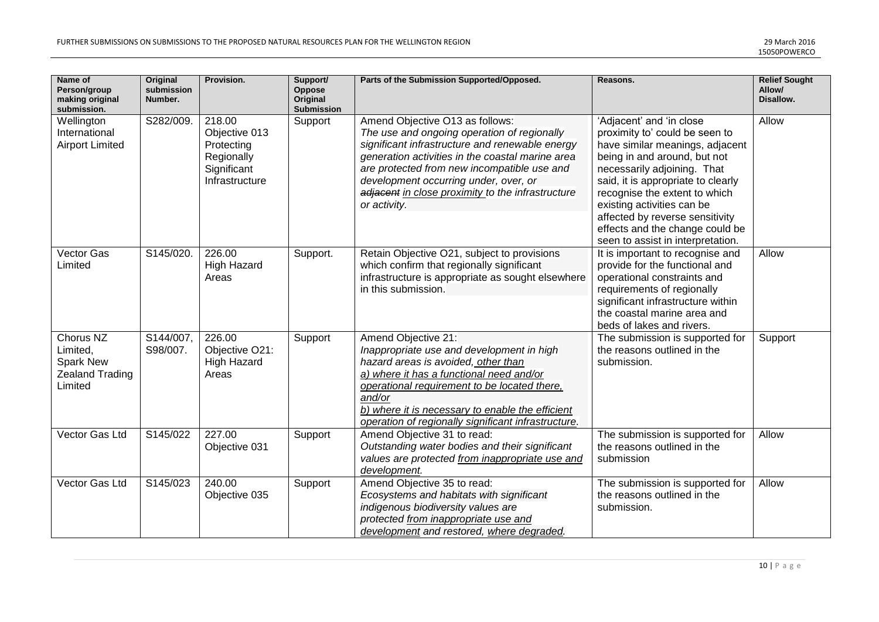| Name of<br>Person/group<br>making original<br>submission.               | <b>Original</b><br>submission<br>Number. | Provision.                                                                           | Support/<br>Oppose<br>Original<br><b>Submission</b> | Parts of the Submission Supported/Opposed.                                                                                                                                                                                                                                                                                                         | Reasons.                                                                                                                                                                                                                                                                                                                                                                     | <b>Relief Sought</b><br>Allow/<br>Disallow. |
|-------------------------------------------------------------------------|------------------------------------------|--------------------------------------------------------------------------------------|-----------------------------------------------------|----------------------------------------------------------------------------------------------------------------------------------------------------------------------------------------------------------------------------------------------------------------------------------------------------------------------------------------------------|------------------------------------------------------------------------------------------------------------------------------------------------------------------------------------------------------------------------------------------------------------------------------------------------------------------------------------------------------------------------------|---------------------------------------------|
| Wellington<br>International<br><b>Airport Limited</b>                   | S282/009.                                | 218.00<br>Objective 013<br>Protecting<br>Regionally<br>Significant<br>Infrastructure | Support                                             | Amend Objective O13 as follows:<br>The use and ongoing operation of regionally<br>significant infrastructure and renewable energy<br>generation activities in the coastal marine area<br>are protected from new incompatible use and<br>development occurring under, over, or<br>adjacent in close proximity to the infrastructure<br>or activity. | 'Adjacent' and 'in close<br>proximity to' could be seen to<br>have similar meanings, adjacent<br>being in and around, but not<br>necessarily adjoining. That<br>said, it is appropriate to clearly<br>recognise the extent to which<br>existing activities can be<br>affected by reverse sensitivity<br>effects and the change could be<br>seen to assist in interpretation. | Allow                                       |
| Vector Gas<br>Limited                                                   | S145/020.                                | 226.00<br><b>High Hazard</b><br>Areas                                                | Support.                                            | Retain Objective O21, subject to provisions<br>which confirm that regionally significant<br>infrastructure is appropriate as sought elsewhere<br>in this submission.                                                                                                                                                                               | It is important to recognise and<br>provide for the functional and<br>operational constraints and<br>requirements of regionally<br>significant infrastructure within<br>the coastal marine area and<br>beds of lakes and rivers.                                                                                                                                             | Allow                                       |
| Chorus NZ<br>Limited,<br>Spark New<br><b>Zealand Trading</b><br>Limited | S144/007,<br>S98/007.                    | 226.00<br>Objective O21:<br><b>High Hazard</b><br>Areas                              | Support                                             | Amend Objective 21:<br>Inappropriate use and development in high<br>hazard areas is avoided, other than<br>a) where it has a functional need and/or<br>operational requirement to be located there,<br>and/or<br>b) where it is necessary to enable the efficient<br>operation of regionally significant infrastructure.                           | The submission is supported for<br>the reasons outlined in the<br>submission.                                                                                                                                                                                                                                                                                                | Support                                     |
| Vector Gas Ltd                                                          | S145/022                                 | 227.00<br>Objective 031                                                              | Support                                             | Amend Objective 31 to read:<br>Outstanding water bodies and their significant<br>values are protected from inappropriate use and<br>development.                                                                                                                                                                                                   | The submission is supported for<br>the reasons outlined in the<br>submission                                                                                                                                                                                                                                                                                                 | Allow                                       |
| Vector Gas Ltd                                                          | S145/023                                 | 240.00<br>Objective 035                                                              | Support                                             | Amend Objective 35 to read:<br>Ecosystems and habitats with significant<br>indigenous biodiversity values are<br>protected from inappropriate use and<br>development and restored, where degraded.                                                                                                                                                 | The submission is supported for<br>the reasons outlined in the<br>submission.                                                                                                                                                                                                                                                                                                | Allow                                       |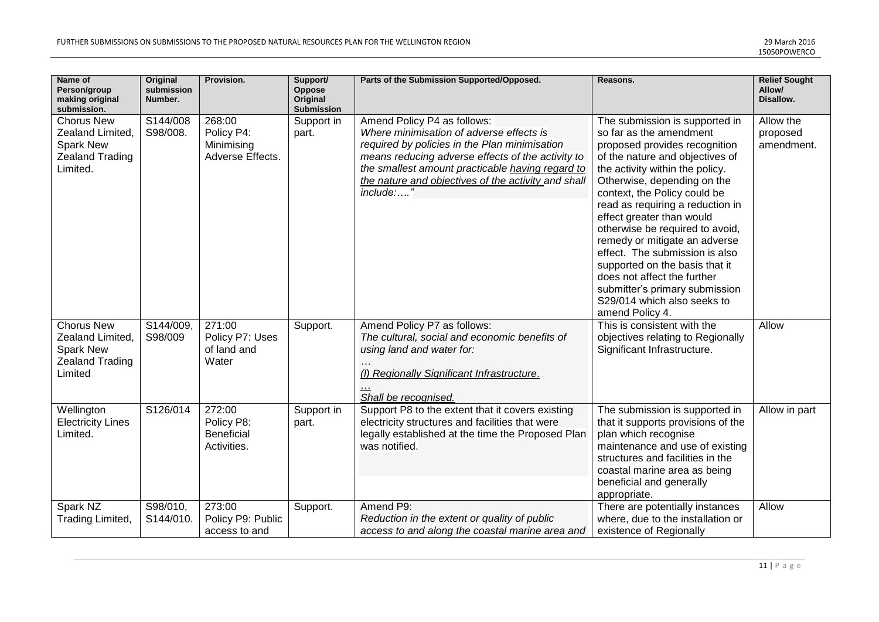| Name of<br>Person/group<br>making original<br>submission.                                       | <b>Original</b><br>submission<br>Number. | Provision.                                               | Support/<br>Oppose<br>Original<br><b>Submission</b> | Parts of the Submission Supported/Opposed.                                                                                                                                                                                                                                                            | Reasons.                                                                                                                                                                                                                                                                                                                                                                                                                                                                                                                                                    | <b>Relief Sought</b><br>Allow/<br>Disallow. |
|-------------------------------------------------------------------------------------------------|------------------------------------------|----------------------------------------------------------|-----------------------------------------------------|-------------------------------------------------------------------------------------------------------------------------------------------------------------------------------------------------------------------------------------------------------------------------------------------------------|-------------------------------------------------------------------------------------------------------------------------------------------------------------------------------------------------------------------------------------------------------------------------------------------------------------------------------------------------------------------------------------------------------------------------------------------------------------------------------------------------------------------------------------------------------------|---------------------------------------------|
| <b>Chorus New</b><br>Zealand Limited,<br><b>Spark New</b><br><b>Zealand Trading</b><br>Limited. | S144/008<br>S98/008.                     | 268:00<br>Policy P4:<br>Minimising<br>Adverse Effects.   | Support in<br>part.                                 | Amend Policy P4 as follows:<br>Where minimisation of adverse effects is<br>required by policies in the Plan minimisation<br>means reducing adverse effects of the activity to<br>the smallest amount practicable having regard to<br>the nature and objectives of the activity and shall<br>include:" | The submission is supported in<br>so far as the amendment<br>proposed provides recognition<br>of the nature and objectives of<br>the activity within the policy.<br>Otherwise, depending on the<br>context, the Policy could be<br>read as requiring a reduction in<br>effect greater than would<br>otherwise be required to avoid,<br>remedy or mitigate an adverse<br>effect. The submission is also<br>supported on the basis that it<br>does not affect the further<br>submitter's primary submission<br>S29/014 which also seeks to<br>amend Policy 4. | Allow the<br>proposed<br>amendment.         |
| <b>Chorus New</b><br>Zealand Limited,<br><b>Spark New</b><br><b>Zealand Trading</b><br>Limited  | $\sqrt{3144/009}$<br>S98/009             | 271:00<br>Policy P7: Uses<br>of land and<br>Water        | Support.                                            | Amend Policy P7 as follows:<br>The cultural, social and economic benefits of<br>using land and water for:<br>(I) Regionally Significant Infrastructure.<br>Shall be recognised.                                                                                                                       | This is consistent with the<br>objectives relating to Regionally<br>Significant Infrastructure.                                                                                                                                                                                                                                                                                                                                                                                                                                                             | Allow                                       |
| Wellington<br><b>Electricity Lines</b><br>Limited.                                              | S126/014                                 | 272:00<br>Policy P8:<br><b>Beneficial</b><br>Activities. | Support in<br>part.                                 | Support P8 to the extent that it covers existing<br>electricity structures and facilities that were<br>legally established at the time the Proposed Plan<br>was notified.                                                                                                                             | The submission is supported in<br>that it supports provisions of the<br>plan which recognise<br>maintenance and use of existing<br>structures and facilities in the<br>coastal marine area as being<br>beneficial and generally<br>appropriate.                                                                                                                                                                                                                                                                                                             | Allow in part                               |
| Spark NZ<br>Trading Limited,                                                                    | S98/010,<br>S144/010.                    | 273:00<br>Policy P9: Public<br>access to and             | Support.                                            | Amend P9:<br>Reduction in the extent or quality of public<br>access to and along the coastal marine area and                                                                                                                                                                                          | There are potentially instances<br>where, due to the installation or<br>existence of Regionally                                                                                                                                                                                                                                                                                                                                                                                                                                                             | Allow                                       |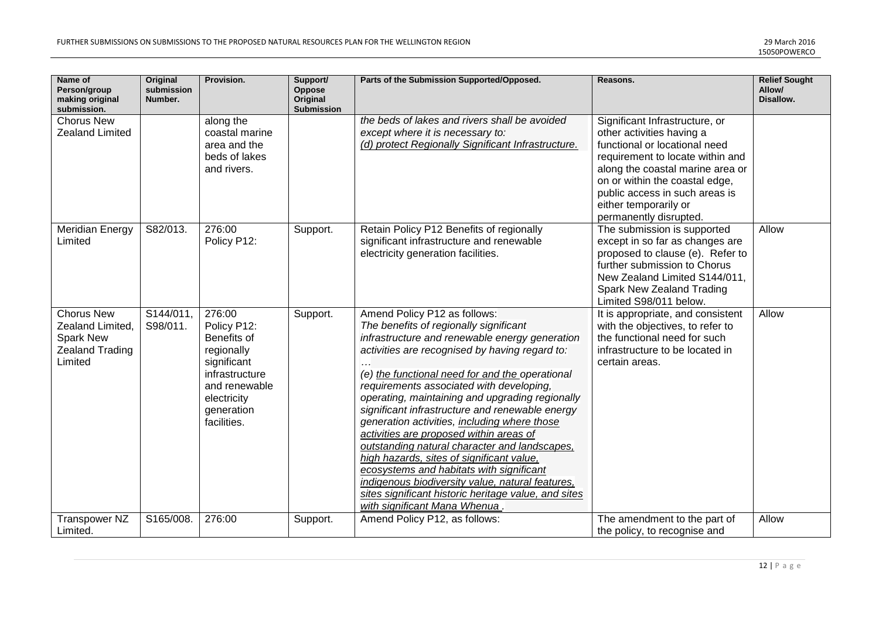| Name of<br>Person/group<br>making original<br>submission.                                      | <b>Original</b><br>submission<br>Number. | Provision.                                                                                                                                       | Support/<br>Oppose<br>Original<br>Submission | Parts of the Submission Supported/Opposed.                                                                                                                                                                                                                                                                                                                                                                                                                                                                                                                                                                                                                                                                                                                        | Reasons.                                                                                                                                                                                                                                                                                    | <b>Relief Sought</b><br>Allow/<br>Disallow. |
|------------------------------------------------------------------------------------------------|------------------------------------------|--------------------------------------------------------------------------------------------------------------------------------------------------|----------------------------------------------|-------------------------------------------------------------------------------------------------------------------------------------------------------------------------------------------------------------------------------------------------------------------------------------------------------------------------------------------------------------------------------------------------------------------------------------------------------------------------------------------------------------------------------------------------------------------------------------------------------------------------------------------------------------------------------------------------------------------------------------------------------------------|---------------------------------------------------------------------------------------------------------------------------------------------------------------------------------------------------------------------------------------------------------------------------------------------|---------------------------------------------|
| <b>Chorus New</b><br><b>Zealand Limited</b>                                                    |                                          | along the<br>coastal marine<br>area and the<br>beds of lakes<br>and rivers.                                                                      |                                              | the beds of lakes and rivers shall be avoided<br>except where it is necessary to:<br>(d) protect Regionally Significant Infrastructure.                                                                                                                                                                                                                                                                                                                                                                                                                                                                                                                                                                                                                           | Significant Infrastructure, or<br>other activities having a<br>functional or locational need<br>requirement to locate within and<br>along the coastal marine area or<br>on or within the coastal edge,<br>public access in such areas is<br>either temporarily or<br>permanently disrupted. |                                             |
| <b>Meridian Energy</b><br>Limited                                                              | S82/013.                                 | 276:00<br>Policy P12:                                                                                                                            | Support.                                     | Retain Policy P12 Benefits of regionally<br>significant infrastructure and renewable<br>electricity generation facilities.                                                                                                                                                                                                                                                                                                                                                                                                                                                                                                                                                                                                                                        | The submission is supported<br>except in so far as changes are<br>proposed to clause (e). Refer to<br>further submission to Chorus<br>New Zealand Limited S144/011,<br>Spark New Zealand Trading<br>Limited S98/011 below.                                                                  | Allow                                       |
| <b>Chorus New</b><br>Zealand Limited,<br><b>Spark New</b><br><b>Zealand Trading</b><br>Limited | S144/011,<br>S98/011.                    | 276:00<br>Policy P12:<br>Benefits of<br>regionally<br>significant<br>infrastructure<br>and renewable<br>electricity<br>generation<br>facilities. | Support.                                     | Amend Policy P12 as follows:<br>The benefits of regionally significant<br>infrastructure and renewable energy generation<br>activities are recognised by having regard to:<br>(e) the functional need for and the operational<br>requirements associated with developing,<br>operating, maintaining and upgrading regionally<br>significant infrastructure and renewable energy<br>generation activities, including where those<br>activities are proposed within areas of<br>outstanding natural character and landscapes,<br>high hazards, sites of significant value,<br>ecosystems and habitats with significant<br>indigenous biodiversity value, natural features,<br>sites significant historic heritage value, and sites<br>with significant Mana Whenua. | It is appropriate, and consistent<br>with the objectives, to refer to<br>the functional need for such<br>infrastructure to be located in<br>certain areas.                                                                                                                                  | Allow                                       |
| <b>Transpower NZ</b><br>Limited.                                                               | S165/008.                                | 276:00                                                                                                                                           | Support.                                     | Amend Policy P12, as follows:                                                                                                                                                                                                                                                                                                                                                                                                                                                                                                                                                                                                                                                                                                                                     | The amendment to the part of<br>the policy, to recognise and                                                                                                                                                                                                                                | Allow                                       |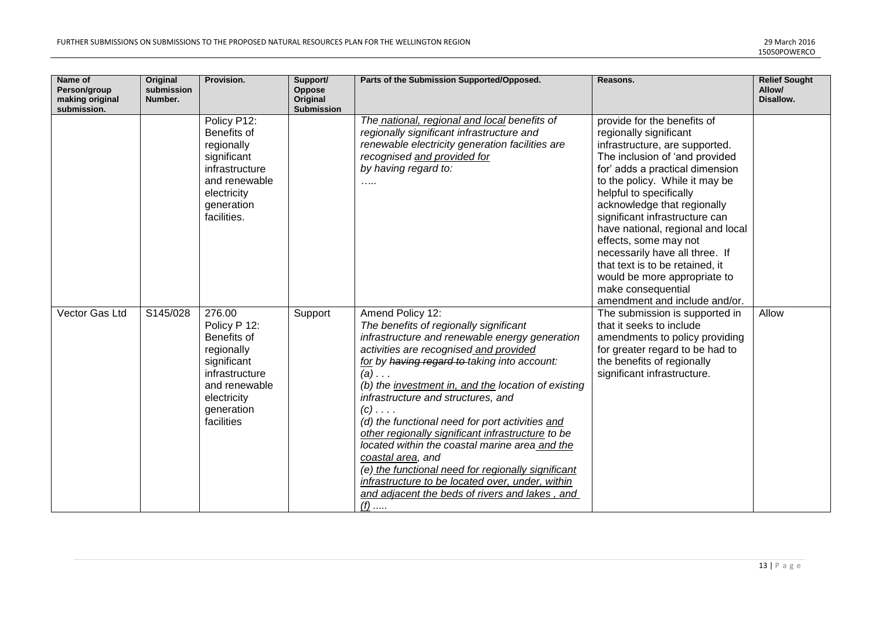| Name of<br>Person/group<br>making original<br>submission. | <b>Original</b><br>submission<br>Number. | Provision.                                                                                                                                       | Support/<br>Oppose<br>Original<br><b>Submission</b> | Parts of the Submission Supported/Opposed.                                                                                                                                                                                                                                                                                                                                                                                                                                                                                                                                                                                                                                       | Reasons.                                                                                                                                                                                                                                                                                                                                                                                                                                                                                                             | <b>Relief Sought</b><br>Allow/<br>Disallow. |
|-----------------------------------------------------------|------------------------------------------|--------------------------------------------------------------------------------------------------------------------------------------------------|-----------------------------------------------------|----------------------------------------------------------------------------------------------------------------------------------------------------------------------------------------------------------------------------------------------------------------------------------------------------------------------------------------------------------------------------------------------------------------------------------------------------------------------------------------------------------------------------------------------------------------------------------------------------------------------------------------------------------------------------------|----------------------------------------------------------------------------------------------------------------------------------------------------------------------------------------------------------------------------------------------------------------------------------------------------------------------------------------------------------------------------------------------------------------------------------------------------------------------------------------------------------------------|---------------------------------------------|
|                                                           |                                          | Policy P12:<br>Benefits of<br>regionally<br>significant<br>infrastructure<br>and renewable<br>electricity<br>generation<br>facilities.           |                                                     | The national, regional and local benefits of<br>regionally significant infrastructure and<br>renewable electricity generation facilities are<br>recognised and provided for<br>by having regard to:<br>.                                                                                                                                                                                                                                                                                                                                                                                                                                                                         | provide for the benefits of<br>regionally significant<br>infrastructure, are supported.<br>The inclusion of 'and provided<br>for' adds a practical dimension<br>to the policy. While it may be<br>helpful to specifically<br>acknowledge that regionally<br>significant infrastructure can<br>have national, regional and local<br>effects, some may not<br>necessarily have all three. If<br>that text is to be retained, it<br>would be more appropriate to<br>make consequential<br>amendment and include and/or. |                                             |
| Vector Gas Ltd                                            | S145/028                                 | 276.00<br>Policy P 12:<br>Benefits of<br>regionally<br>significant<br>infrastructure<br>and renewable<br>electricity<br>generation<br>facilities | Support                                             | Amend Policy 12:<br>The benefits of regionally significant<br>infrastructure and renewable energy generation<br>activities are recognised and provided<br>for by having regard to taking into account:<br>$(a) \ldots$<br>(b) the investment in, and the location of existing<br>infrastructure and structures, and<br>$(c)$<br>(d) the functional need for port activities and<br>other regionally significant infrastructure to be<br>located within the coastal marine area and the<br>coastal area, and<br>(e) the functional need for regionally significant<br>infrastructure to be located over, under, within<br>and adjacent the beds of rivers and lakes, and<br>$(f)$ | The submission is supported in<br>that it seeks to include<br>amendments to policy providing<br>for greater regard to be had to<br>the benefits of regionally<br>significant infrastructure.                                                                                                                                                                                                                                                                                                                         | Allow                                       |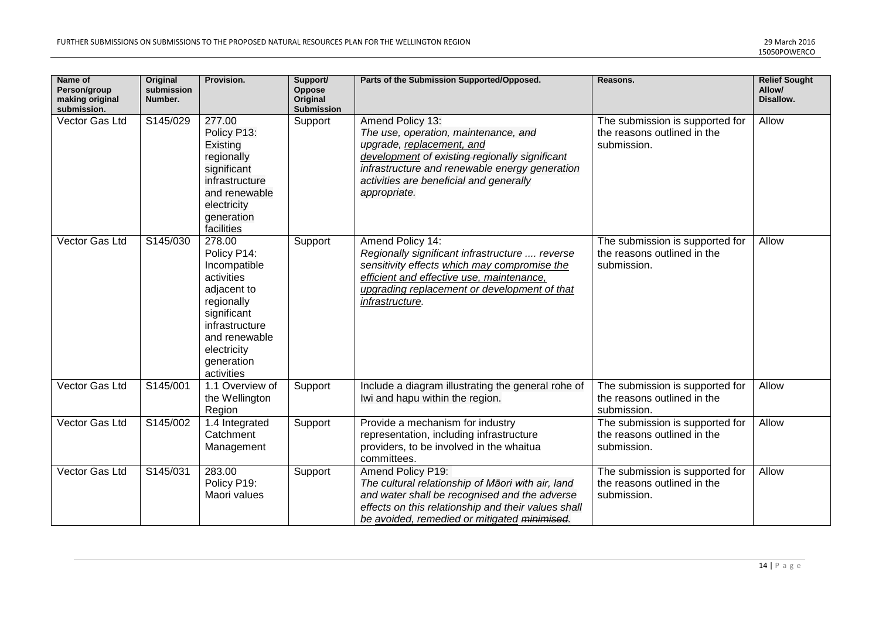| Name of<br>Person/group<br>making original<br>submission. | <b>Original</b><br>submission<br>Number. | Provision.                                                                                                                                                                    | Support/<br>Oppose<br>Original<br>Submission | Parts of the Submission Supported/Opposed.                                                                                                                                                                                                           | Reasons.                                                                      | <b>Relief Sought</b><br>Allow/<br>Disallow. |
|-----------------------------------------------------------|------------------------------------------|-------------------------------------------------------------------------------------------------------------------------------------------------------------------------------|----------------------------------------------|------------------------------------------------------------------------------------------------------------------------------------------------------------------------------------------------------------------------------------------------------|-------------------------------------------------------------------------------|---------------------------------------------|
| Vector Gas Ltd                                            | S145/029                                 | 277.00<br>Policy P13:<br>Existing<br>regionally<br>significant<br>infrastructure<br>and renewable<br>electricity<br>generation<br>facilities                                  | Support                                      | Amend Policy 13:<br>The use, operation, maintenance, and<br>upgrade, replacement, and<br>development of existing regionally significant<br>infrastructure and renewable energy generation<br>activities are beneficial and generally<br>appropriate. | The submission is supported for<br>the reasons outlined in the<br>submission. | Allow                                       |
| Vector Gas Ltd                                            | S145/030                                 | 278.00<br>Policy P14:<br>Incompatible<br>activities<br>adjacent to<br>regionally<br>significant<br>infrastructure<br>and renewable<br>electricity<br>generation<br>activities | Support                                      | Amend Policy 14:<br>Regionally significant infrastructure  reverse<br>sensitivity effects which may compromise the<br>efficient and effective use, maintenance,<br>upgrading replacement or development of that<br>infrastructure.                   | The submission is supported for<br>the reasons outlined in the<br>submission. | Allow                                       |
| Vector Gas Ltd                                            | S145/001                                 | 1.1 Overview of<br>the Wellington<br>Region                                                                                                                                   | Support                                      | Include a diagram illustrating the general rohe of<br>Iwi and hapu within the region.                                                                                                                                                                | The submission is supported for<br>the reasons outlined in the<br>submission. | Allow                                       |
| Vector Gas Ltd                                            | S145/002                                 | 1.4 Integrated<br>Catchment<br>Management                                                                                                                                     | Support                                      | Provide a mechanism for industry<br>representation, including infrastructure<br>providers, to be involved in the whaitua<br>committees.                                                                                                              | The submission is supported for<br>the reasons outlined in the<br>submission. | Allow                                       |
| Vector Gas Ltd                                            | S145/031                                 | 283.00<br>Policy P19:<br>Maori values                                                                                                                                         | Support                                      | Amend Policy P19:<br>The cultural relationship of Māori with air, land<br>and water shall be recognised and the adverse<br>effects on this relationship and their values shall<br>be avoided, remedied or mitigated minimised.                       | The submission is supported for<br>the reasons outlined in the<br>submission. | Allow                                       |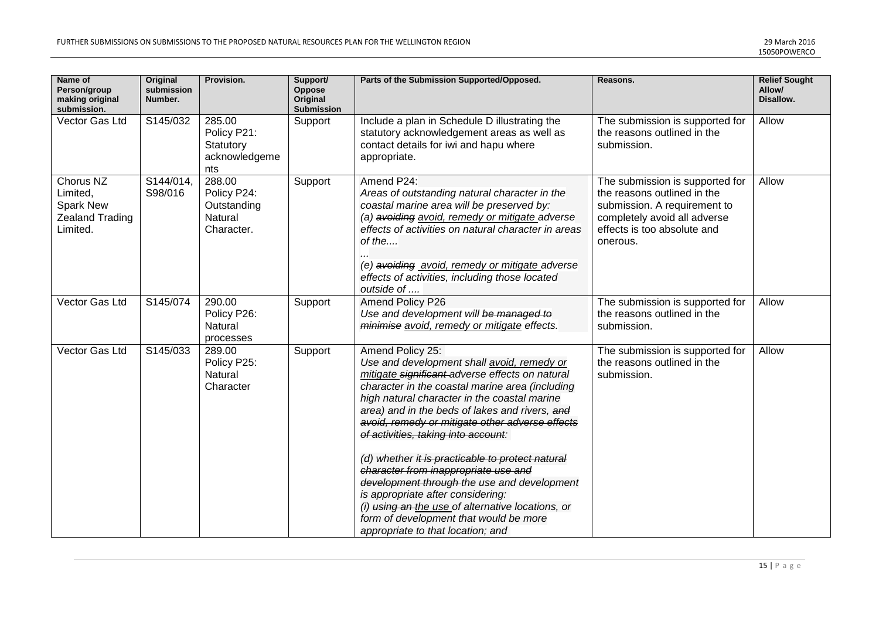| Name of<br>Person/group<br>making original<br>submission.                       | <b>Original</b><br>submission<br>Number. | Provision.                                                           | Support/<br>Oppose<br>Original<br>Submission | Parts of the Submission Supported/Opposed.                                                                                                                                                                                                                                                                                                                                                                                                                                                                                                                                                                                                                                           | Reasons.                                                                                                                                                                  | <b>Relief Sought</b><br>Allow/<br>Disallow. |
|---------------------------------------------------------------------------------|------------------------------------------|----------------------------------------------------------------------|----------------------------------------------|--------------------------------------------------------------------------------------------------------------------------------------------------------------------------------------------------------------------------------------------------------------------------------------------------------------------------------------------------------------------------------------------------------------------------------------------------------------------------------------------------------------------------------------------------------------------------------------------------------------------------------------------------------------------------------------|---------------------------------------------------------------------------------------------------------------------------------------------------------------------------|---------------------------------------------|
| Vector Gas Ltd                                                                  | S145/032                                 | 285.00<br>Policy P21:<br>Statutory<br>acknowledgeme<br>nts           | Support                                      | Include a plan in Schedule D illustrating the<br>statutory acknowledgement areas as well as<br>contact details for iwi and hapu where<br>appropriate.                                                                                                                                                                                                                                                                                                                                                                                                                                                                                                                                | The submission is supported for<br>the reasons outlined in the<br>submission.                                                                                             | Allow                                       |
| Chorus NZ<br>Limited,<br><b>Spark New</b><br><b>Zealand Trading</b><br>Limited. | S144/014,<br>S98/016                     | 288.00<br>Policy P24:<br>Outstanding<br><b>Natural</b><br>Character. | Support                                      | Amend P24:<br>Areas of outstanding natural character in the<br>coastal marine area will be preserved by:<br>(a) avoiding avoid, remedy or mitigate adverse<br>effects of activities on natural character in areas<br>of the<br>(e) avoiding avoid, remedy or mitigate adverse<br>effects of activities, including those located<br>outside of                                                                                                                                                                                                                                                                                                                                        | The submission is supported for<br>the reasons outlined in the<br>submission. A requirement to<br>completely avoid all adverse<br>effects is too absolute and<br>onerous. | Allow                                       |
| Vector Gas Ltd                                                                  | S145/074                                 | 290.00<br>Policy P26:<br>Natural<br>processes                        | Support                                      | Amend Policy P26<br>Use and development will be managed to<br>minimise avoid, remedy or mitigate effects.                                                                                                                                                                                                                                                                                                                                                                                                                                                                                                                                                                            | The submission is supported for<br>the reasons outlined in the<br>submission.                                                                                             | Allow                                       |
| Vector Gas Ltd                                                                  | S145/033                                 | 289.00<br>Policy P25:<br>Natural<br>Character                        | Support                                      | Amend Policy 25:<br>Use and development shall avoid, remedy or<br>mitigate significant adverse effects on natural<br>character in the coastal marine area (including<br>high natural character in the coastal marine<br>area) and in the beds of lakes and rivers, and<br>avoid, remedy or mitigate other adverse effects<br>of activities, taking into account:<br>(d) whether it is practicable to protect natural<br>character from inappropriate use and<br>development through the use and development<br>is appropriate after considering:<br>(i) using an-the use of alternative locations, or<br>form of development that would be more<br>appropriate to that location; and | The submission is supported for<br>the reasons outlined in the<br>submission.                                                                                             | Allow                                       |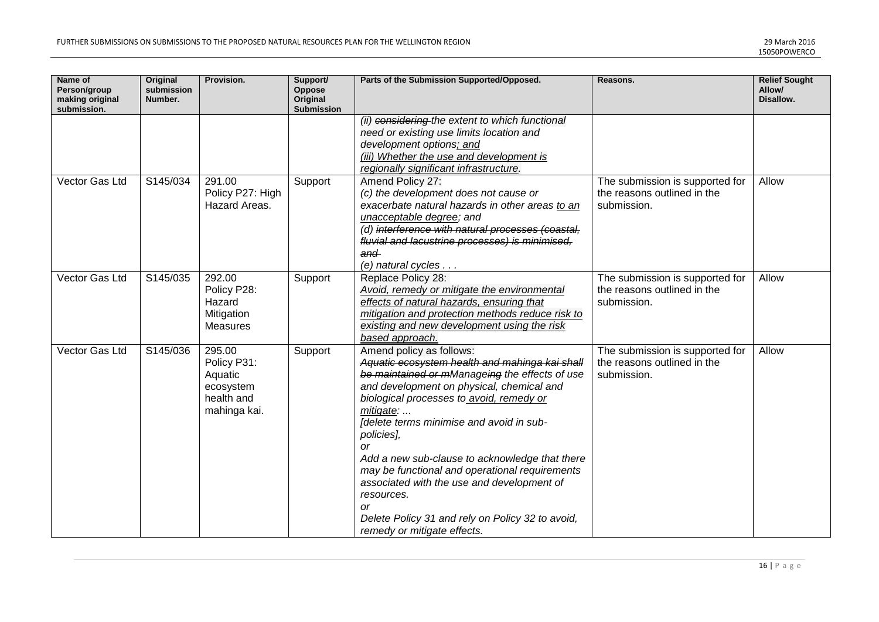| Name of<br>Person/group<br>making original<br>submission. | <b>Original</b><br>submission<br>Number. | Provision.                                                                  | Support/<br>Oppose<br>Original<br>Submission | Parts of the Submission Supported/Opposed.                                                                                                                                                                                                                                                                                                                                                                                                                                                                                                                         | Reasons.                                                                      | <b>Relief Sought</b><br>Allow/<br>Disallow. |
|-----------------------------------------------------------|------------------------------------------|-----------------------------------------------------------------------------|----------------------------------------------|--------------------------------------------------------------------------------------------------------------------------------------------------------------------------------------------------------------------------------------------------------------------------------------------------------------------------------------------------------------------------------------------------------------------------------------------------------------------------------------------------------------------------------------------------------------------|-------------------------------------------------------------------------------|---------------------------------------------|
|                                                           |                                          |                                                                             |                                              | (ii) considering the extent to which functional<br>need or existing use limits location and<br>development options; and<br>(iii) Whether the use and development is<br>regionally significant infrastructure.                                                                                                                                                                                                                                                                                                                                                      |                                                                               |                                             |
| Vector Gas Ltd                                            | S145/034                                 | 291.00<br>Policy P27: High<br>Hazard Areas.                                 | Support                                      | Amend Policy 27:<br>(c) the development does not cause or<br>exacerbate natural hazards in other areas to an<br>unacceptable degree; and<br>(d) interference with natural processes (coastal,<br>fluvial and lacustrine processes) is minimised,<br>and<br>$(e)$ natural cycles $\ldots$                                                                                                                                                                                                                                                                           | The submission is supported for<br>the reasons outlined in the<br>submission. | Allow                                       |
| Vector Gas Ltd                                            | S145/035                                 | 292.00<br>Policy P28:<br>Hazard<br>Mitigation<br><b>Measures</b>            | Support                                      | Replace Policy 28:<br>Avoid, remedy or mitigate the environmental<br>effects of natural hazards, ensuring that<br>mitigation and protection methods reduce risk to<br>existing and new development using the risk<br>based approach.                                                                                                                                                                                                                                                                                                                               | The submission is supported for<br>the reasons outlined in the<br>submission. | Allow                                       |
| Vector Gas Ltd                                            | S145/036                                 | 295.00<br>Policy P31:<br>Aquatic<br>ecosystem<br>health and<br>mahinga kai. | Support                                      | Amend policy as follows:<br>Aquatic ecosystem health and mahinga kai shall<br>be maintained or mManageing the effects of use<br>and development on physical, chemical and<br>biological processes to avoid, remedy or<br>mitigate:<br>[delete terms minimise and avoid in sub-<br>policies],<br>or<br>Add a new sub-clause to acknowledge that there<br>may be functional and operational requirements<br>associated with the use and development of<br>resources.<br><b>or</b><br>Delete Policy 31 and rely on Policy 32 to avoid,<br>remedy or mitigate effects. | The submission is supported for<br>the reasons outlined in the<br>submission. | Allow                                       |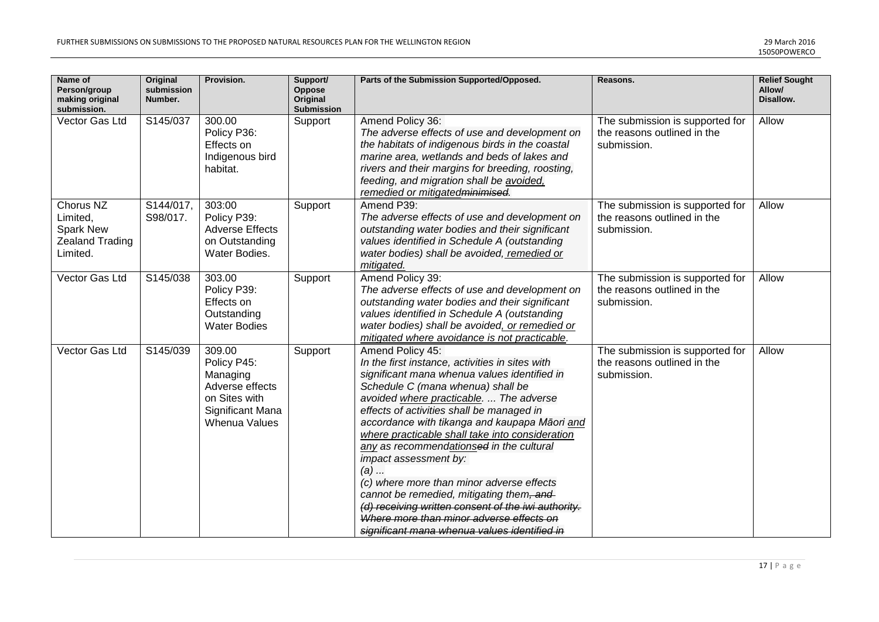| Name of<br>Person/group<br>making original<br>submission.                | Original<br>submission<br>Number. | Provision.                                                                                                        | Support/<br>Oppose<br>Original<br>Submission | Parts of the Submission Supported/Opposed.                                                                                                                                                                                                                                                                                                                                                                                                                                                                                                                                                                                                                                     | Reasons.                                                                      | <b>Relief Sought</b><br>Allow/<br>Disallow. |
|--------------------------------------------------------------------------|-----------------------------------|-------------------------------------------------------------------------------------------------------------------|----------------------------------------------|--------------------------------------------------------------------------------------------------------------------------------------------------------------------------------------------------------------------------------------------------------------------------------------------------------------------------------------------------------------------------------------------------------------------------------------------------------------------------------------------------------------------------------------------------------------------------------------------------------------------------------------------------------------------------------|-------------------------------------------------------------------------------|---------------------------------------------|
| Vector Gas Ltd                                                           | S145/037                          | 300.00<br>Policy P36:<br>Effects on<br>Indigenous bird<br>habitat.                                                | Support                                      | Amend Policy 36:<br>The adverse effects of use and development on<br>the habitats of indigenous birds in the coastal<br>marine area, wetlands and beds of lakes and<br>rivers and their margins for breeding, roosting,<br>feeding, and migration shall be avoided.<br>remedied or mitigatedminimised.                                                                                                                                                                                                                                                                                                                                                                         | The submission is supported for<br>the reasons outlined in the<br>submission. | Allow                                       |
| Chorus NZ<br>Limited,<br>Spark New<br><b>Zealand Trading</b><br>Limited. | S144/017,<br>S98/017.             | 303:00<br>Policy P39:<br><b>Adverse Effects</b><br>on Outstanding<br>Water Bodies.                                | Support                                      | Amend P39:<br>The adverse effects of use and development on<br>outstanding water bodies and their significant<br>values identified in Schedule A (outstanding<br>water bodies) shall be avoided, remedied or<br>mitigated.                                                                                                                                                                                                                                                                                                                                                                                                                                                     | The submission is supported for<br>the reasons outlined in the<br>submission. | Allow                                       |
| Vector Gas Ltd                                                           | S145/038                          | 303.00<br>Policy P39:<br>Effects on<br>Outstanding<br><b>Water Bodies</b>                                         | Support                                      | Amend Policy 39:<br>The adverse effects of use and development on<br>outstanding water bodies and their significant<br>values identified in Schedule A (outstanding<br>water bodies) shall be avoided, or remedied or<br>mitigated where avoidance is not practicable.                                                                                                                                                                                                                                                                                                                                                                                                         | The submission is supported for<br>the reasons outlined in the<br>submission. | Allow                                       |
| Vector Gas Ltd                                                           | S145/039                          | 309.00<br>Policy P45:<br>Managing<br>Adverse effects<br>on Sites with<br>Significant Mana<br><b>Whenua Values</b> | Support                                      | Amend Policy 45:<br>In the first instance, activities in sites with<br>significant mana whenua values identified in<br>Schedule C (mana whenua) shall be<br>avoided where practicable.  The adverse<br>effects of activities shall be managed in<br>accordance with tikanga and kaupapa Māori and<br>where practicable shall take into consideration<br>any as recommendationsed in the cultural<br>impact assessment by:<br>$(a)$<br>(c) where more than minor adverse effects<br>cannot be remedied, mitigating them, and<br>(d) receiving written consent of the iwi authority.<br>Where more than minor adverse effects on<br>significant mana whenua values identified in | The submission is supported for<br>the reasons outlined in the<br>submission. | Allow                                       |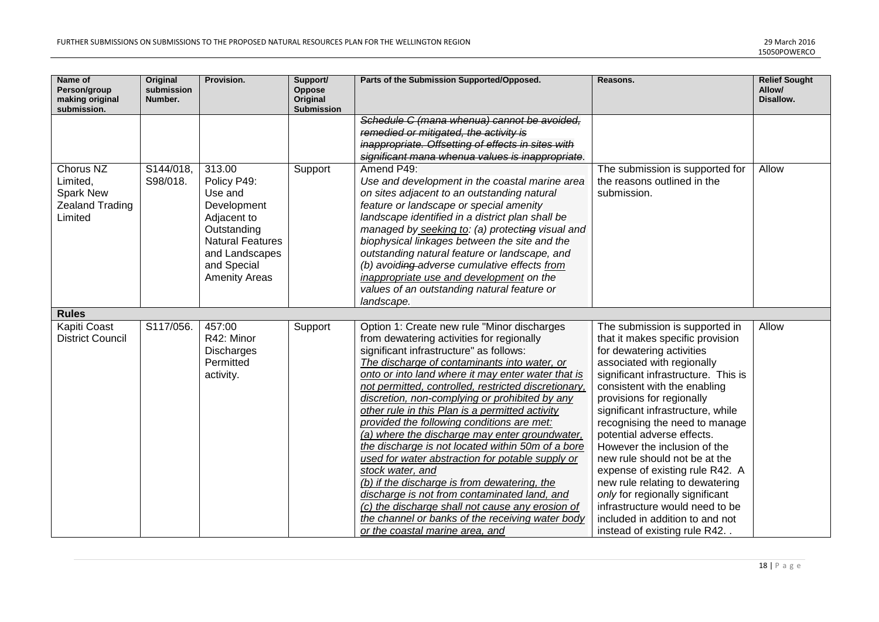| Name of<br>Person/group<br>making original<br>submission.               | <b>Original</b><br>submission<br>Number. | Provision.                                                                                                                                                        | Support/<br>Oppose<br>Original<br>Submission | Parts of the Submission Supported/Opposed.                                                                                                                                                                                                                                                                                                                                                                                                                                                                                                                                                                                                                                                                                                                                                                                                                                     | Reasons.                                                                                                                                                                                                                                                                                                                                                                                                                                                                                                                                                                                                               | <b>Relief Sought</b><br>Allow/<br>Disallow. |
|-------------------------------------------------------------------------|------------------------------------------|-------------------------------------------------------------------------------------------------------------------------------------------------------------------|----------------------------------------------|--------------------------------------------------------------------------------------------------------------------------------------------------------------------------------------------------------------------------------------------------------------------------------------------------------------------------------------------------------------------------------------------------------------------------------------------------------------------------------------------------------------------------------------------------------------------------------------------------------------------------------------------------------------------------------------------------------------------------------------------------------------------------------------------------------------------------------------------------------------------------------|------------------------------------------------------------------------------------------------------------------------------------------------------------------------------------------------------------------------------------------------------------------------------------------------------------------------------------------------------------------------------------------------------------------------------------------------------------------------------------------------------------------------------------------------------------------------------------------------------------------------|---------------------------------------------|
|                                                                         |                                          |                                                                                                                                                                   |                                              | Schedule C (mana whenua) cannot be avoided.<br>remedied or mitigated, the activity is<br>inappropriate. Offsetting of effects in sites with<br>significant mana whenua values is inappropriate.                                                                                                                                                                                                                                                                                                                                                                                                                                                                                                                                                                                                                                                                                |                                                                                                                                                                                                                                                                                                                                                                                                                                                                                                                                                                                                                        |                                             |
| Chorus NZ<br>Limited,<br>Spark New<br><b>Zealand Trading</b><br>Limited | S144/018,<br>S98/018.                    | 313.00<br>Policy P49:<br>Use and<br>Development<br>Adjacent to<br>Outstanding<br><b>Natural Features</b><br>and Landscapes<br>and Special<br><b>Amenity Areas</b> | Support                                      | Amend P49:<br>Use and development in the coastal marine area<br>on sites adjacent to an outstanding natural<br>feature or landscape or special amenity<br>landscape identified in a district plan shall be<br>managed by seeking to: (a) protecting visual and<br>biophysical linkages between the site and the<br>outstanding natural feature or landscape, and<br>(b) avoiding adverse cumulative effects from<br>inappropriate use and development on the<br>values of an outstanding natural feature or<br>landscape.                                                                                                                                                                                                                                                                                                                                                      | The submission is supported for<br>the reasons outlined in the<br>submission.                                                                                                                                                                                                                                                                                                                                                                                                                                                                                                                                          | Allow                                       |
| <b>Rules</b>                                                            |                                          |                                                                                                                                                                   |                                              |                                                                                                                                                                                                                                                                                                                                                                                                                                                                                                                                                                                                                                                                                                                                                                                                                                                                                |                                                                                                                                                                                                                                                                                                                                                                                                                                                                                                                                                                                                                        |                                             |
| Kapiti Coast<br><b>District Council</b>                                 | S117/056.                                | 457:00<br>R42: Minor<br><b>Discharges</b><br>Permitted<br>activity.                                                                                               | Support                                      | Option 1: Create new rule "Minor discharges<br>from dewatering activities for regionally<br>significant infrastructure" as follows:<br>The discharge of contaminants into water, or<br>onto or into land where it may enter water that is<br>not permitted, controlled, restricted discretionary,<br>discretion, non-complying or prohibited by any<br>other rule in this Plan is a permitted activity<br>provided the following conditions are met:<br>(a) where the discharge may enter groundwater,<br>the discharge is not located within 50m of a bore<br>used for water abstraction for potable supply or<br>stock water, and<br>(b) if the discharge is from dewatering, the<br>discharge is not from contaminated land, and<br>(c) the discharge shall not cause any erosion of<br>the channel or banks of the receiving water body<br>or the coastal marine area, and | The submission is supported in<br>that it makes specific provision<br>for dewatering activities<br>associated with regionally<br>significant infrastructure. This is<br>consistent with the enabling<br>provisions for regionally<br>significant infrastructure, while<br>recognising the need to manage<br>potential adverse effects.<br>However the inclusion of the<br>new rule should not be at the<br>expense of existing rule R42. A<br>new rule relating to dewatering<br>only for regionally significant<br>infrastructure would need to be<br>included in addition to and not<br>instead of existing rule R42 | Allow                                       |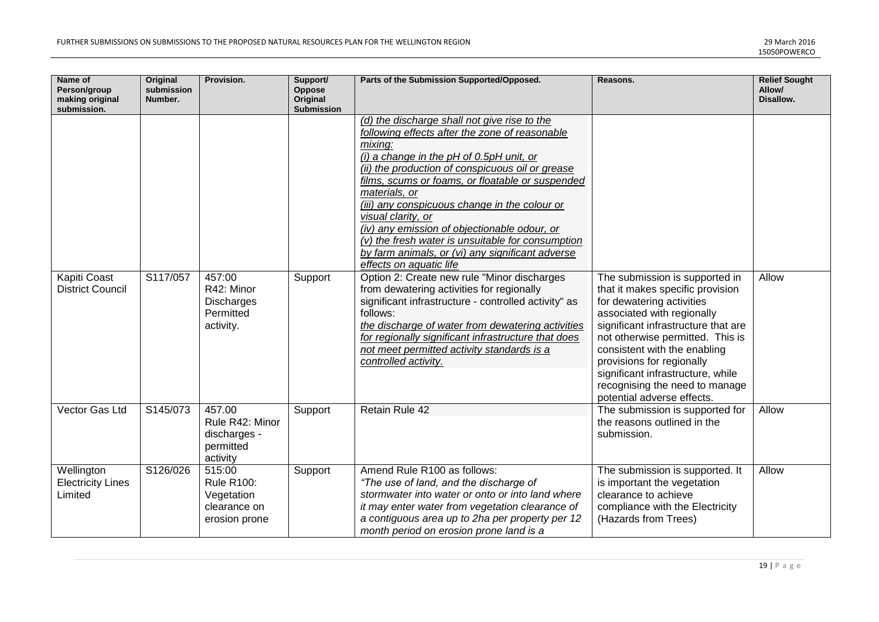| Name of<br>Person/group<br>making original<br>submission. | <b>Original</b><br>submission<br>Number. | Provision.                                                                 | Support/<br>Oppose<br>Original<br>Submission | Parts of the Submission Supported/Opposed.                                                                                                                                                                                                                                                                                                                                                                                                                                                                                                                                                                                                 | Reasons.                                                                                                                                                                                                                                                                                             | <b>Relief Sought</b><br>Allow/<br>Disallow. |
|-----------------------------------------------------------|------------------------------------------|----------------------------------------------------------------------------|----------------------------------------------|--------------------------------------------------------------------------------------------------------------------------------------------------------------------------------------------------------------------------------------------------------------------------------------------------------------------------------------------------------------------------------------------------------------------------------------------------------------------------------------------------------------------------------------------------------------------------------------------------------------------------------------------|------------------------------------------------------------------------------------------------------------------------------------------------------------------------------------------------------------------------------------------------------------------------------------------------------|---------------------------------------------|
| Kapiti Coast<br><b>District Council</b>                   | S117/057                                 | 457:00<br>R42: Minor                                                       | Support                                      | (d) the discharge shall not give rise to the<br>following effects after the zone of reasonable<br>mixing:<br>(i) a change in the pH of $0.5$ pH unit, or<br>(ii) the production of conspicuous oil or grease<br>films, scums or foams, or floatable or suspended<br>materials, or<br>(iii) any conspicuous change in the colour or<br>visual clarity, or<br>(iv) any emission of objectionable odour, or<br>$(v)$ the fresh water is unsuitable for consumption<br>by farm animals, or (vi) any significant adverse<br>effects on aquatic life<br>Option 2: Create new rule "Minor discharges<br>from dewatering activities for regionally | The submission is supported in<br>that it makes specific provision                                                                                                                                                                                                                                   | <b>Allow</b>                                |
|                                                           |                                          | <b>Discharges</b><br>Permitted<br>activity.                                |                                              | significant infrastructure - controlled activity" as<br>follows:<br>the discharge of water from dewatering activities<br>for regionally significant infrastructure that does<br>not meet permitted activity standards is a<br>controlled activity.                                                                                                                                                                                                                                                                                                                                                                                         | for dewatering activities<br>associated with regionally<br>significant infrastructure that are<br>not otherwise permitted. This is<br>consistent with the enabling<br>provisions for regionally<br>significant infrastructure, while<br>recognising the need to manage<br>potential adverse effects. |                                             |
| Vector Gas Ltd                                            | S145/073                                 | 457.00<br>Rule R42: Minor<br>discharges -<br>permitted<br>activity         | Support                                      | Retain Rule 42                                                                                                                                                                                                                                                                                                                                                                                                                                                                                                                                                                                                                             | The submission is supported for<br>the reasons outlined in the<br>submission.                                                                                                                                                                                                                        | Allow                                       |
| Wellington<br><b>Electricity Lines</b><br>Limited         | S126/026                                 | 515:00<br><b>Rule R100:</b><br>Vegetation<br>clearance on<br>erosion prone | Support                                      | Amend Rule R100 as follows:<br>"The use of land, and the discharge of<br>stormwater into water or onto or into land where<br>it may enter water from vegetation clearance of<br>a contiguous area up to 2ha per property per 12<br>month period on erosion prone land is a                                                                                                                                                                                                                                                                                                                                                                 | The submission is supported. It<br>is important the vegetation<br>clearance to achieve<br>compliance with the Electricity<br>(Hazards from Trees)                                                                                                                                                    | Allow                                       |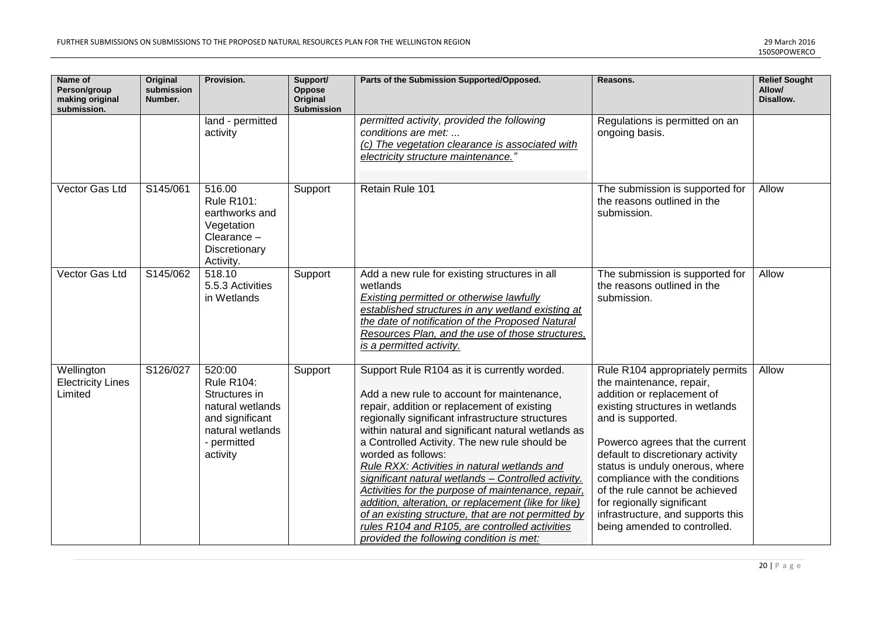| Name of<br>Person/group<br>making original<br>submission. | Original<br>submission<br>Number. | Provision.                                                                                                                         | Support/<br><b>Oppose</b><br>Original<br>Submission | Parts of the Submission Supported/Opposed.                                                                                                                                                                                                                                                                                                                                                                                                                                                                                                                                                                                                                                                           | Reasons.                                                                                                                                                                                                                                                                                                                                                                                                                            | <b>Relief Sought</b><br>Allow/<br>Disallow. |
|-----------------------------------------------------------|-----------------------------------|------------------------------------------------------------------------------------------------------------------------------------|-----------------------------------------------------|------------------------------------------------------------------------------------------------------------------------------------------------------------------------------------------------------------------------------------------------------------------------------------------------------------------------------------------------------------------------------------------------------------------------------------------------------------------------------------------------------------------------------------------------------------------------------------------------------------------------------------------------------------------------------------------------------|-------------------------------------------------------------------------------------------------------------------------------------------------------------------------------------------------------------------------------------------------------------------------------------------------------------------------------------------------------------------------------------------------------------------------------------|---------------------------------------------|
|                                                           |                                   | land - permitted<br>activity                                                                                                       |                                                     | permitted activity, provided the following<br>conditions are met:<br>(c) The vegetation clearance is associated with<br>electricity structure maintenance."                                                                                                                                                                                                                                                                                                                                                                                                                                                                                                                                          | Regulations is permitted on an<br>ongoing basis.                                                                                                                                                                                                                                                                                                                                                                                    |                                             |
| Vector Gas Ltd                                            | S145/061                          | 516.00<br><b>Rule R101:</b><br>earthworks and<br>Vegetation<br>Clearance -<br>Discretionary<br>Activity.                           | Support                                             | Retain Rule 101                                                                                                                                                                                                                                                                                                                                                                                                                                                                                                                                                                                                                                                                                      | The submission is supported for<br>the reasons outlined in the<br>submission.                                                                                                                                                                                                                                                                                                                                                       | Allow                                       |
| Vector Gas Ltd                                            | S145/062                          | 518.10<br>5.5.3 Activities<br>in Wetlands                                                                                          | Support                                             | Add a new rule for existing structures in all<br>wetlands<br><b>Existing permitted or otherwise lawfully</b><br>established structures in any wetland existing at<br>the date of notification of the Proposed Natural<br>Resources Plan, and the use of those structures,<br>is a permitted activity.                                                                                                                                                                                                                                                                                                                                                                                                | The submission is supported for<br>the reasons outlined in the<br>submission.                                                                                                                                                                                                                                                                                                                                                       | Allow                                       |
| Wellington<br><b>Electricity Lines</b><br>Limited         | S126/027                          | 520:00<br><b>Rule R104:</b><br>Structures in<br>natural wetlands<br>and significant<br>natural wetlands<br>- permitted<br>activity | Support                                             | Support Rule R104 as it is currently worded.<br>Add a new rule to account for maintenance,<br>repair, addition or replacement of existing<br>regionally significant infrastructure structures<br>within natural and significant natural wetlands as<br>a Controlled Activity. The new rule should be<br>worded as follows:<br>Rule RXX: Activities in natural wetlands and<br>significant natural wetlands - Controlled activity.<br>Activities for the purpose of maintenance, repair,<br>addition, alteration, or replacement (like for like)<br>of an existing structure, that are not permitted by<br>rules R104 and R105, are controlled activities<br>provided the following condition is met: | Rule R104 appropriately permits<br>the maintenance, repair,<br>addition or replacement of<br>existing structures in wetlands<br>and is supported.<br>Powerco agrees that the current<br>default to discretionary activity<br>status is unduly onerous, where<br>compliance with the conditions<br>of the rule cannot be achieved<br>for regionally significant<br>infrastructure, and supports this<br>being amended to controlled. | Allow                                       |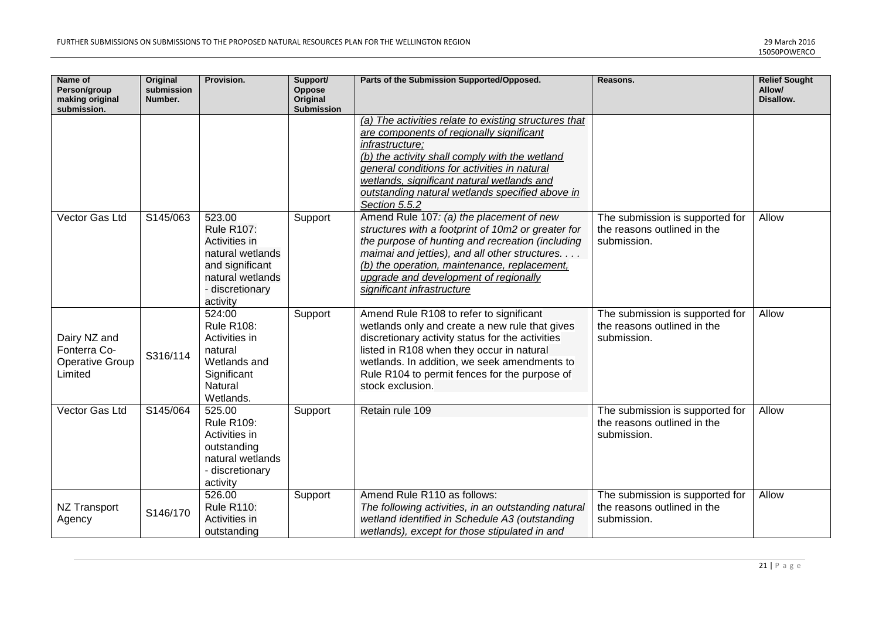| Name of<br>Person/group<br>making original<br>submission.  | <b>Original</b><br>submission<br>Number. | Provision.                                                                                                                             | Support/<br><b>Oppose</b><br>Original<br>Submission | Parts of the Submission Supported/Opposed.                                                                                                                                                                                                                                                                                               | Reasons.                                                                      | <b>Relief Sought</b><br>Allow/<br>Disallow. |
|------------------------------------------------------------|------------------------------------------|----------------------------------------------------------------------------------------------------------------------------------------|-----------------------------------------------------|------------------------------------------------------------------------------------------------------------------------------------------------------------------------------------------------------------------------------------------------------------------------------------------------------------------------------------------|-------------------------------------------------------------------------------|---------------------------------------------|
|                                                            |                                          |                                                                                                                                        |                                                     | (a) The activities relate to existing structures that<br>are components of regionally significant<br>infrastructure;<br>(b) the activity shall comply with the wetland<br>general conditions for activities in natural<br>wetlands, significant natural wetlands and<br>outstanding natural wetlands specified above in<br>Section 5.5.2 |                                                                               |                                             |
| Vector Gas Ltd                                             | S145/063                                 | 523.00<br><b>Rule R107:</b><br>Activities in<br>natural wetlands<br>and significant<br>natural wetlands<br>- discretionary<br>activity | Support                                             | Amend Rule 107: (a) the placement of new<br>structures with a footprint of 10m2 or greater for<br>the purpose of hunting and recreation (including<br>maimai and jetties), and all other structures.<br>(b) the operation, maintenance, replacement,<br>upgrade and development of regionally<br>significant infrastructure              | The submission is supported for<br>the reasons outlined in the<br>submission. | Allow                                       |
| Dairy NZ and<br>Fonterra Co-<br>Operative Group<br>Limited | S316/114                                 | 524:00<br><b>Rule R108:</b><br>Activities in<br>natural<br>Wetlands and<br>Significant<br>Natural<br>Wetlands.                         | Support                                             | Amend Rule R108 to refer to significant<br>wetlands only and create a new rule that gives<br>discretionary activity status for the activities<br>listed in R108 when they occur in natural<br>wetlands. In addition, we seek amendments to<br>Rule R104 to permit fences for the purpose of<br>stock exclusion.                          | The submission is supported for<br>the reasons outlined in the<br>submission. | Allow                                       |
| Vector Gas Ltd                                             | S145/064                                 | 525.00<br><b>Rule R109:</b><br>Activities in<br>outstanding<br>natural wetlands<br>- discretionary<br>activity                         | Support                                             | Retain rule 109                                                                                                                                                                                                                                                                                                                          | The submission is supported for<br>the reasons outlined in the<br>submission. | Allow                                       |
| <b>NZ Transport</b><br>Agency                              | S146/170                                 | 526.00<br><b>Rule R110:</b><br>Activities in<br>outstanding                                                                            | Support                                             | Amend Rule R110 as follows:<br>The following activities, in an outstanding natural<br>wetland identified in Schedule A3 (outstanding<br>wetlands), except for those stipulated in and                                                                                                                                                    | The submission is supported for<br>the reasons outlined in the<br>submission. | Allow                                       |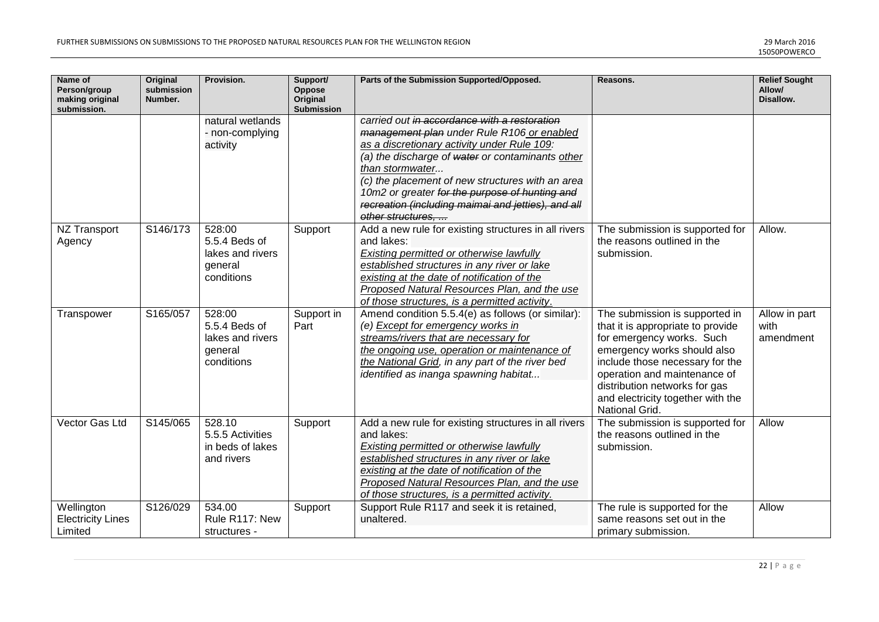| Name of<br>Person/group<br>making original<br>submission. | <b>Original</b><br>submission<br>Number. | Provision.                                                           | Support/<br>Oppose<br>Original<br><b>Submission</b> | Parts of the Submission Supported/Opposed.                                                                                                                                                                                                                                                                                                                                                       | Reasons.                                                                                                                                                                                                                                                                                   | <b>Relief Sought</b><br>Allow/<br>Disallow. |
|-----------------------------------------------------------|------------------------------------------|----------------------------------------------------------------------|-----------------------------------------------------|--------------------------------------------------------------------------------------------------------------------------------------------------------------------------------------------------------------------------------------------------------------------------------------------------------------------------------------------------------------------------------------------------|--------------------------------------------------------------------------------------------------------------------------------------------------------------------------------------------------------------------------------------------------------------------------------------------|---------------------------------------------|
|                                                           |                                          | natural wetlands<br>- non-complying<br>activity                      |                                                     | carried out in accordance with a restoration<br>management plan under Rule R106 or enabled<br>as a discretionary activity under Rule 109:<br>(a) the discharge of water or contaminants other<br>than stormwater<br>(c) the placement of new structures with an area<br>10m2 or greater for the purpose of hunting and<br>recreation (including maimai and jetties), and all<br>other structures |                                                                                                                                                                                                                                                                                            |                                             |
| NZ Transport<br>Agency                                    | S146/173                                 | 528:00<br>5.5.4 Beds of<br>lakes and rivers<br>general<br>conditions | Support                                             | Add a new rule for existing structures in all rivers<br>and lakes:<br>Existing permitted or otherwise lawfully<br>established structures in any river or lake<br>existing at the date of notification of the<br>Proposed Natural Resources Plan, and the use<br>of those structures, is a permitted activity.                                                                                    | The submission is supported for<br>the reasons outlined in the<br>submission.                                                                                                                                                                                                              | Allow.                                      |
| Transpower                                                | S165/057                                 | 528:00<br>5.5.4 Beds of<br>lakes and rivers<br>general<br>conditions | Support in<br>Part                                  | Amend condition 5.5.4(e) as follows (or similar):<br>(e) Except for emergency works in<br>streams/rivers that are necessary for<br>the ongoing use, operation or maintenance of<br>the National Grid, in any part of the river bed<br>identified as inanga spawning habitat                                                                                                                      | The submission is supported in<br>that it is appropriate to provide<br>for emergency works. Such<br>emergency works should also<br>include those necessary for the<br>operation and maintenance of<br>distribution networks for gas<br>and electricity together with the<br>National Grid. | Allow in part<br>with<br>amendment          |
| Vector Gas Ltd                                            | S145/065                                 | 528.10<br>5.5.5 Activities<br>in beds of lakes<br>and rivers         | Support                                             | Add a new rule for existing structures in all rivers<br>and lakes:<br>Existing permitted or otherwise lawfully<br>established structures in any river or lake<br>existing at the date of notification of the<br>Proposed Natural Resources Plan, and the use<br>of those structures, is a permitted activity.                                                                                    | The submission is supported for<br>the reasons outlined in the<br>submission.                                                                                                                                                                                                              | Allow                                       |
| Wellington<br><b>Electricity Lines</b><br>Limited         | S126/029                                 | 534.00<br>Rule R117: New<br>structures -                             | Support                                             | Support Rule R117 and seek it is retained,<br>unaltered.                                                                                                                                                                                                                                                                                                                                         | The rule is supported for the<br>same reasons set out in the<br>primary submission.                                                                                                                                                                                                        | Allow                                       |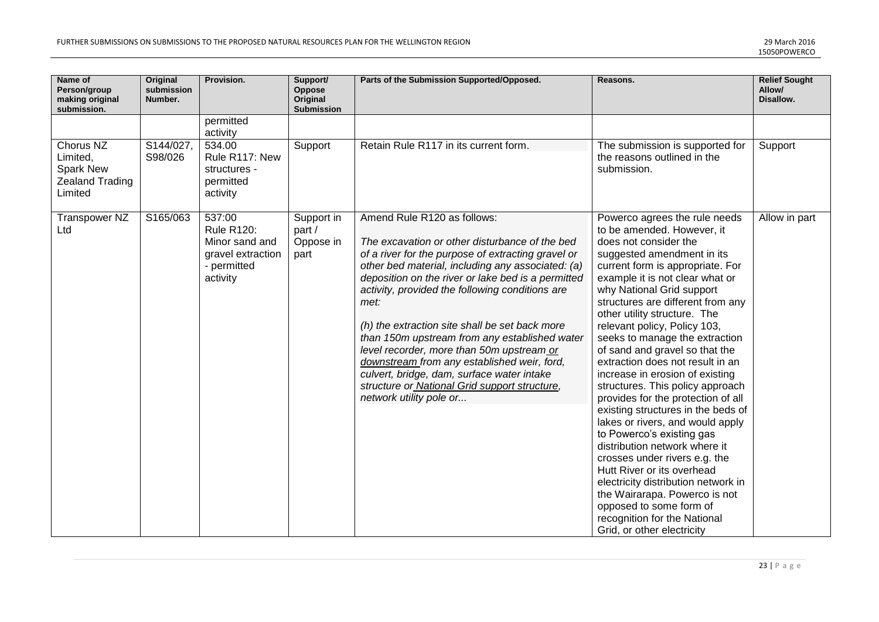| Name of<br>Person/group<br>making original<br>submission.                      | <b>Original</b><br>submission<br>Number. | Provision.                                                                                    | Support/<br>Oppose<br>Original<br><b>Submission</b> | Parts of the Submission Supported/Opposed.                                                                                                                                                                                                                                                                                                                                                                                                                                                                                                                                                                                         | Reasons.                                                                                                                                                                                                                                                                                                                                                                                                                                                                                                                                                                                                                                                                                                                                                                                                                                                                                                                 | <b>Relief Sought</b><br>Allow/<br>Disallow. |
|--------------------------------------------------------------------------------|------------------------------------------|-----------------------------------------------------------------------------------------------|-----------------------------------------------------|------------------------------------------------------------------------------------------------------------------------------------------------------------------------------------------------------------------------------------------------------------------------------------------------------------------------------------------------------------------------------------------------------------------------------------------------------------------------------------------------------------------------------------------------------------------------------------------------------------------------------------|--------------------------------------------------------------------------------------------------------------------------------------------------------------------------------------------------------------------------------------------------------------------------------------------------------------------------------------------------------------------------------------------------------------------------------------------------------------------------------------------------------------------------------------------------------------------------------------------------------------------------------------------------------------------------------------------------------------------------------------------------------------------------------------------------------------------------------------------------------------------------------------------------------------------------|---------------------------------------------|
|                                                                                |                                          | permitted<br>activity                                                                         |                                                     |                                                                                                                                                                                                                                                                                                                                                                                                                                                                                                                                                                                                                                    |                                                                                                                                                                                                                                                                                                                                                                                                                                                                                                                                                                                                                                                                                                                                                                                                                                                                                                                          |                                             |
| Chorus NZ<br>Limited,<br><b>Spark New</b><br><b>Zealand Trading</b><br>Limited | S144/027,<br>S98/026                     | 534.00<br>Rule R117: New<br>structures -<br>permitted<br>activity                             | Support                                             | Retain Rule R117 in its current form.                                                                                                                                                                                                                                                                                                                                                                                                                                                                                                                                                                                              | The submission is supported for<br>the reasons outlined in the<br>submission.                                                                                                                                                                                                                                                                                                                                                                                                                                                                                                                                                                                                                                                                                                                                                                                                                                            | Support                                     |
| Transpower NZ<br>Ltd                                                           | S165/063                                 | 537:00<br><b>Rule R120:</b><br>Minor sand and<br>gravel extraction<br>- permitted<br>activity | Support in<br>part /<br>Oppose in<br>part           | Amend Rule R120 as follows:<br>The excavation or other disturbance of the bed<br>of a river for the purpose of extracting gravel or<br>other bed material, including any associated: (a)<br>deposition on the river or lake bed is a permitted<br>activity, provided the following conditions are<br>met:<br>(h) the extraction site shall be set back more<br>than 150m upstream from any established water<br>level recorder, more than 50m upstream or<br>downstream from any established weir, ford,<br>culvert, bridge, dam, surface water intake<br>structure or National Grid support structure,<br>network utility pole or | Powerco agrees the rule needs<br>to be amended. However, it<br>does not consider the<br>suggested amendment in its<br>current form is appropriate. For<br>example it is not clear what or<br>why National Grid support<br>structures are different from any<br>other utility structure. The<br>relevant policy, Policy 103,<br>seeks to manage the extraction<br>of sand and gravel so that the<br>extraction does not result in an<br>increase in erosion of existing<br>structures. This policy approach<br>provides for the protection of all<br>existing structures in the beds of<br>lakes or rivers, and would apply<br>to Powerco's existing gas<br>distribution network where it<br>crosses under rivers e.g. the<br>Hutt River or its overhead<br>electricity distribution network in<br>the Wairarapa. Powerco is not<br>opposed to some form of<br>recognition for the National<br>Grid, or other electricity | Allow in part                               |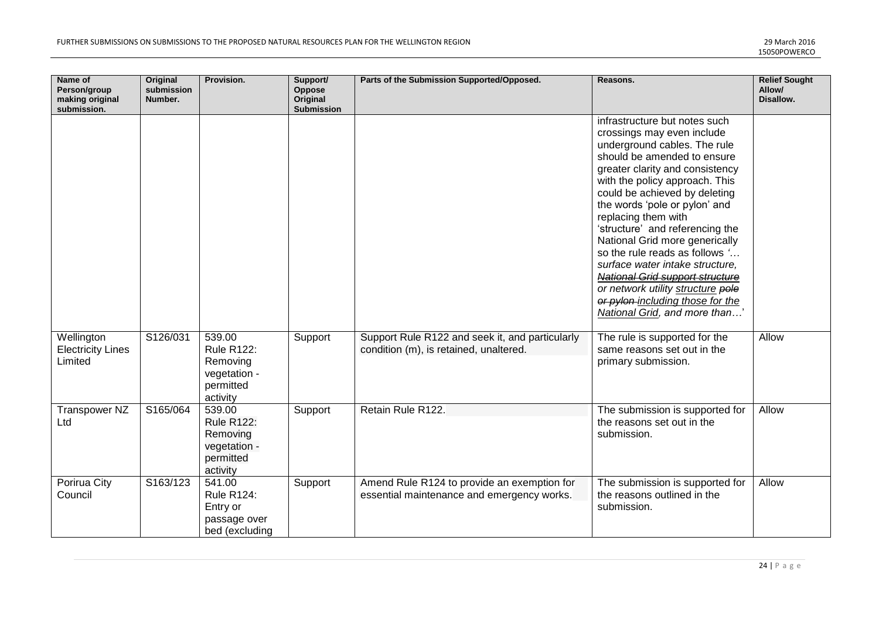| Name of<br>Person/group<br>making original<br>submission. | <b>Original</b><br>submission<br>Number. | Provision.                                                                       | Support/<br>Oppose<br>Original<br><b>Submission</b> | Parts of the Submission Supported/Opposed.                                                | Reasons.                                                                                                                                                                                                                                                                                                                                                                                                                                                                                                                                                                               | <b>Relief Sought</b><br>Allow/<br>Disallow. |
|-----------------------------------------------------------|------------------------------------------|----------------------------------------------------------------------------------|-----------------------------------------------------|-------------------------------------------------------------------------------------------|----------------------------------------------------------------------------------------------------------------------------------------------------------------------------------------------------------------------------------------------------------------------------------------------------------------------------------------------------------------------------------------------------------------------------------------------------------------------------------------------------------------------------------------------------------------------------------------|---------------------------------------------|
|                                                           |                                          |                                                                                  |                                                     |                                                                                           | infrastructure but notes such<br>crossings may even include<br>underground cables. The rule<br>should be amended to ensure<br>greater clarity and consistency<br>with the policy approach. This<br>could be achieved by deleting<br>the words 'pole or pylon' and<br>replacing them with<br>'structure' and referencing the<br>National Grid more generically<br>so the rule reads as follows '<br>surface water intake structure.<br><b>National Grid support structure</b><br>or network utility structure pole<br>or pylon-including those for the<br>National Grid, and more than' |                                             |
| Wellington<br><b>Electricity Lines</b><br>Limited         | S126/031                                 | 539.00<br><b>Rule R122:</b><br>Removing<br>vegetation -<br>permitted<br>activity | Support                                             | Support Rule R122 and seek it, and particularly<br>condition (m), is retained, unaltered. | The rule is supported for the<br>same reasons set out in the<br>primary submission.                                                                                                                                                                                                                                                                                                                                                                                                                                                                                                    | Allow                                       |
| <b>Transpower NZ</b><br>Ltd                               | S165/064                                 | 539.00<br><b>Rule R122:</b><br>Removing<br>vegetation -<br>permitted<br>activity | Support                                             | Retain Rule R122.                                                                         | The submission is supported for<br>the reasons set out in the<br>submission.                                                                                                                                                                                                                                                                                                                                                                                                                                                                                                           | Allow                                       |
| Porirua City<br>Council                                   | S163/123                                 | 541.00<br><b>Rule R124:</b><br>Entry or<br>passage over<br>bed (excluding        | Support                                             | Amend Rule R124 to provide an exemption for<br>essential maintenance and emergency works. | The submission is supported for<br>the reasons outlined in the<br>submission.                                                                                                                                                                                                                                                                                                                                                                                                                                                                                                          | Allow                                       |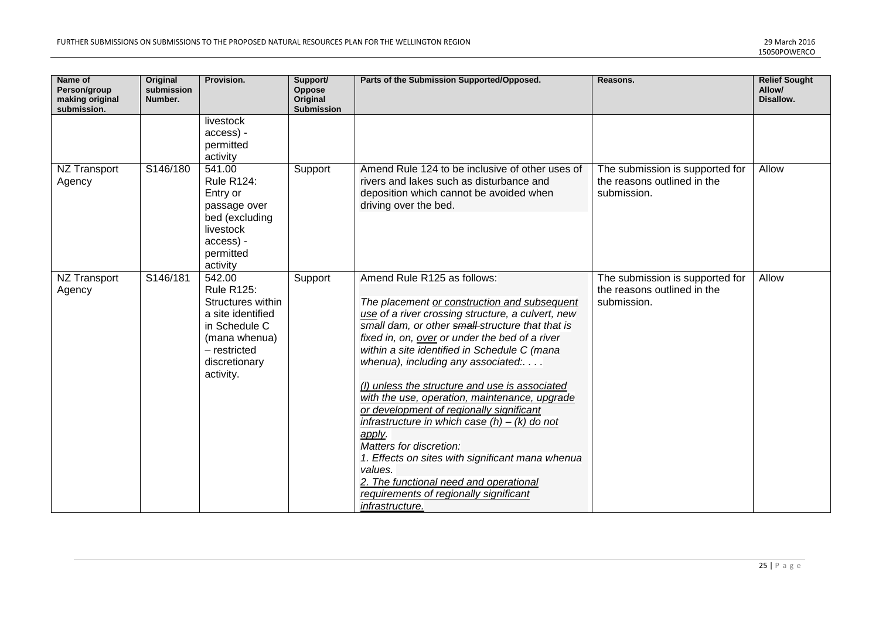| Name of<br>Person/group<br>making original<br>submission. | <b>Original</b><br>submission<br>Number. | Provision.                                                                                                                                            | Support/<br><b>Oppose</b><br>Original<br><b>Submission</b> | Parts of the Submission Supported/Opposed.                                                                                                                                                                                                                                                                                                                                                                                                                                                                                                                                                                                                                                                                                                | Reasons.                                                                      | <b>Relief Sought</b><br>Allow/<br>Disallow. |
|-----------------------------------------------------------|------------------------------------------|-------------------------------------------------------------------------------------------------------------------------------------------------------|------------------------------------------------------------|-------------------------------------------------------------------------------------------------------------------------------------------------------------------------------------------------------------------------------------------------------------------------------------------------------------------------------------------------------------------------------------------------------------------------------------------------------------------------------------------------------------------------------------------------------------------------------------------------------------------------------------------------------------------------------------------------------------------------------------------|-------------------------------------------------------------------------------|---------------------------------------------|
|                                                           |                                          | livestock<br>access) -<br>permitted<br>activity                                                                                                       |                                                            |                                                                                                                                                                                                                                                                                                                                                                                                                                                                                                                                                                                                                                                                                                                                           |                                                                               |                                             |
| NZ Transport<br>Agency                                    | S146/180                                 | 541.00<br><b>Rule R124:</b><br>Entry or<br>passage over<br>bed (excluding<br>livestock<br>access) -<br>permitted<br>activity                          | Support                                                    | Amend Rule 124 to be inclusive of other uses of<br>rivers and lakes such as disturbance and<br>deposition which cannot be avoided when<br>driving over the bed.                                                                                                                                                                                                                                                                                                                                                                                                                                                                                                                                                                           | The submission is supported for<br>the reasons outlined in the<br>submission. | Allow                                       |
| <b>NZ Transport</b><br>Agency                             | S146/181                                 | 542.00<br><b>Rule R125:</b><br>Structures within<br>a site identified<br>in Schedule C<br>(mana whenua)<br>- restricted<br>discretionary<br>activity. | Support                                                    | Amend Rule R125 as follows:<br>The placement or construction and subsequent<br>use of a river crossing structure, a culvert, new<br>small dam, or other small structure that that is<br>fixed in, on, over or under the bed of a river<br>within a site identified in Schedule C (mana<br>whenua), including any associated:<br>(I) unless the structure and use is associated<br>with the use, operation, maintenance, upgrade<br>or development of regionally significant<br>infrastructure in which case $(h) - (k)$ do not<br>apply.<br>Matters for discretion:<br>1. Effects on sites with significant mana whenua<br>values.<br>2. The functional need and operational<br>requirements of regionally significant<br>infrastructure. | The submission is supported for<br>the reasons outlined in the<br>submission. | Allow                                       |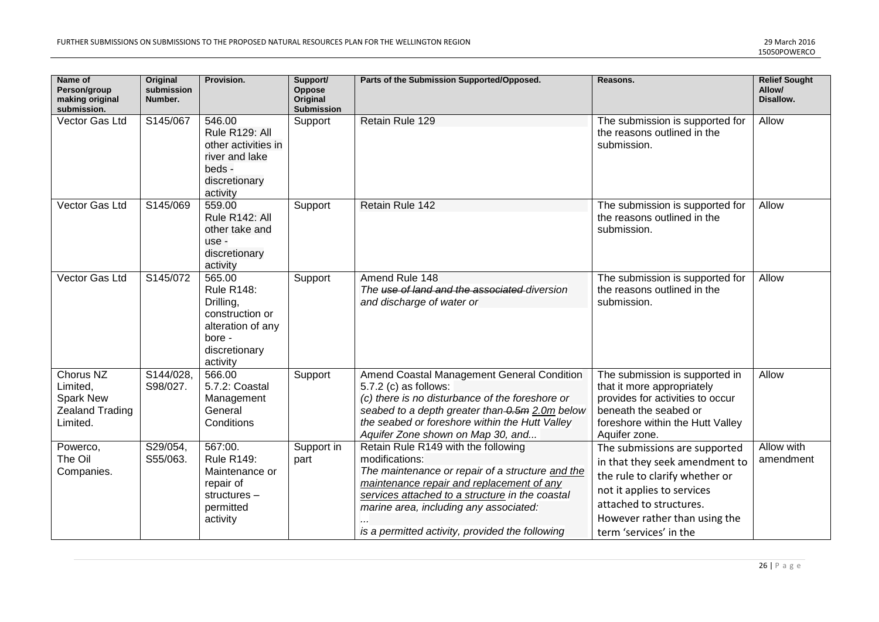| Name of<br>Person/group<br>making original<br>submission.                       | <b>Original</b><br>submission<br>Number. | Provision.                                                                                                              | Support/<br>Oppose<br>Original<br>Submission | Parts of the Submission Supported/Opposed.                                                                                                                                                                                                                                                             | Reasons.                                                                                                                                                                                                              | <b>Relief Sought</b><br>Allow/<br>Disallow. |
|---------------------------------------------------------------------------------|------------------------------------------|-------------------------------------------------------------------------------------------------------------------------|----------------------------------------------|--------------------------------------------------------------------------------------------------------------------------------------------------------------------------------------------------------------------------------------------------------------------------------------------------------|-----------------------------------------------------------------------------------------------------------------------------------------------------------------------------------------------------------------------|---------------------------------------------|
| Vector Gas Ltd                                                                  | S145/067                                 | 546.00<br>Rule R129: All<br>other activities in<br>river and lake<br>beds -<br>discretionary<br>activity                | Support                                      | Retain Rule 129                                                                                                                                                                                                                                                                                        | The submission is supported for<br>the reasons outlined in the<br>submission.                                                                                                                                         | Allow                                       |
| Vector Gas Ltd                                                                  | S145/069                                 | 559.00<br>Rule R142: All<br>other take and<br>use -<br>discretionary<br>activity                                        | Support                                      | Retain Rule 142                                                                                                                                                                                                                                                                                        | The submission is supported for<br>the reasons outlined in the<br>submission.                                                                                                                                         | Allow                                       |
| Vector Gas Ltd                                                                  | S145/072                                 | 565.00<br><b>Rule R148:</b><br>Drilling,<br>construction or<br>alteration of any<br>bore -<br>discretionary<br>activity | Support                                      | Amend Rule 148<br>The use of land and the associated diversion<br>and discharge of water or                                                                                                                                                                                                            | The submission is supported for<br>the reasons outlined in the<br>submission.                                                                                                                                         | Allow                                       |
| Chorus NZ<br>Limited,<br><b>Spark New</b><br><b>Zealand Trading</b><br>Limited. | S144/028,<br>S98/027.                    | 566.00<br>5.7.2: Coastal<br>Management<br>General<br>Conditions                                                         | Support                                      | Amend Coastal Management General Condition<br>5.7.2 (c) as follows:<br>(c) there is no disturbance of the foreshore or<br>seabed to a depth greater than-0.5m 2.0m below<br>the seabed or foreshore within the Hutt Valley<br>Aquifer Zone shown on Map 30, and                                        | The submission is supported in<br>that it more appropriately<br>provides for activities to occur<br>beneath the seabed or<br>foreshore within the Hutt Valley<br>Aquifer zone.                                        | Allow                                       |
| Powerco,<br>The Oil<br>Companies.                                               | S29/054,<br>S55/063.                     | 567:00.<br><b>Rule R149:</b><br>Maintenance or<br>repair of<br>structures-<br>permitted<br>activity                     | Support in<br>part                           | Retain Rule R149 with the following<br>modifications:<br>The maintenance or repair of a structure and the<br>maintenance repair and replacement of any<br>services attached to a structure in the coastal<br>marine area, including any associated:<br>is a permitted activity, provided the following | The submissions are supported<br>in that they seek amendment to<br>the rule to clarify whether or<br>not it applies to services<br>attached to structures.<br>However rather than using the<br>term 'services' in the | Allow with<br>amendment                     |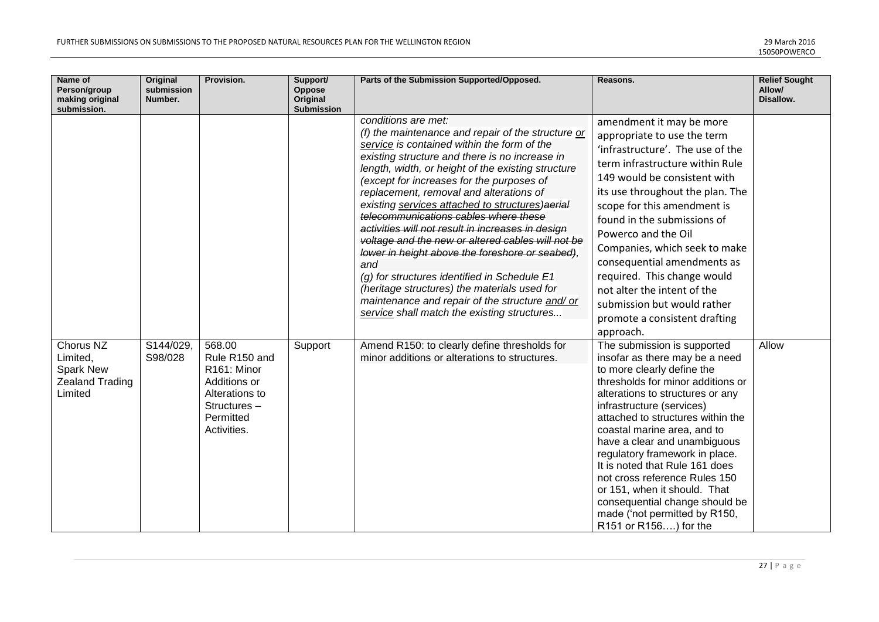| Name of<br>Person/group<br>making original<br>submission.               | Original<br>submission<br>Number. | Provision.                                                                                                                       | Support/<br><b>Oppose</b><br>Original<br><b>Submission</b> | Parts of the Submission Supported/Opposed.                                                                                                                                                                                                                                                                                                                                                                                                                                                                                                                                                                                                                                                                                                                                                 | Reasons.                                                                                                                                                                                                                                                                                                                                                                                                                                                                                                                               | <b>Relief Sought</b><br>Allow/<br>Disallow. |
|-------------------------------------------------------------------------|-----------------------------------|----------------------------------------------------------------------------------------------------------------------------------|------------------------------------------------------------|--------------------------------------------------------------------------------------------------------------------------------------------------------------------------------------------------------------------------------------------------------------------------------------------------------------------------------------------------------------------------------------------------------------------------------------------------------------------------------------------------------------------------------------------------------------------------------------------------------------------------------------------------------------------------------------------------------------------------------------------------------------------------------------------|----------------------------------------------------------------------------------------------------------------------------------------------------------------------------------------------------------------------------------------------------------------------------------------------------------------------------------------------------------------------------------------------------------------------------------------------------------------------------------------------------------------------------------------|---------------------------------------------|
|                                                                         |                                   |                                                                                                                                  |                                                            | conditions are met:<br>(f) the maintenance and repair of the structure or<br>service is contained within the form of the<br>existing structure and there is no increase in<br>length, width, or height of the existing structure<br>(except for increases for the purposes of<br>replacement, removal and alterations of<br>existing services attached to structures) aerial<br>telecommunications cables where these<br>activities will not result in increases in design<br>voltage and the new or altered cables will not be<br>lower in height above the foreshore or seabed),<br>and<br>(g) for structures identified in Schedule E1<br>(heritage structures) the materials used for<br>maintenance and repair of the structure and/or<br>service shall match the existing structures | amendment it may be more<br>appropriate to use the term<br>'infrastructure'. The use of the<br>term infrastructure within Rule<br>149 would be consistent with<br>its use throughout the plan. The<br>scope for this amendment is<br>found in the submissions of<br>Powerco and the Oil<br>Companies, which seek to make<br>consequential amendments as<br>required. This change would<br>not alter the intent of the<br>submission but would rather<br>promote a consistent drafting<br>approach.                                     |                                             |
| Chorus NZ<br>Limited,<br>Spark New<br><b>Zealand Trading</b><br>Limited | S144/029,<br>S98/028              | 568.00<br>Rule R150 and<br>R <sub>161</sub> : Minor<br>Additions or<br>Alterations to<br>Structures-<br>Permitted<br>Activities. | Support                                                    | Amend R150: to clearly define thresholds for<br>minor additions or alterations to structures.                                                                                                                                                                                                                                                                                                                                                                                                                                                                                                                                                                                                                                                                                              | The submission is supported<br>insofar as there may be a need<br>to more clearly define the<br>thresholds for minor additions or<br>alterations to structures or any<br>infrastructure (services)<br>attached to structures within the<br>coastal marine area, and to<br>have a clear and unambiguous<br>regulatory framework in place.<br>It is noted that Rule 161 does<br>not cross reference Rules 150<br>or 151, when it should. That<br>consequential change should be<br>made ('not permitted by R150,<br>R151 or R156) for the | Allow                                       |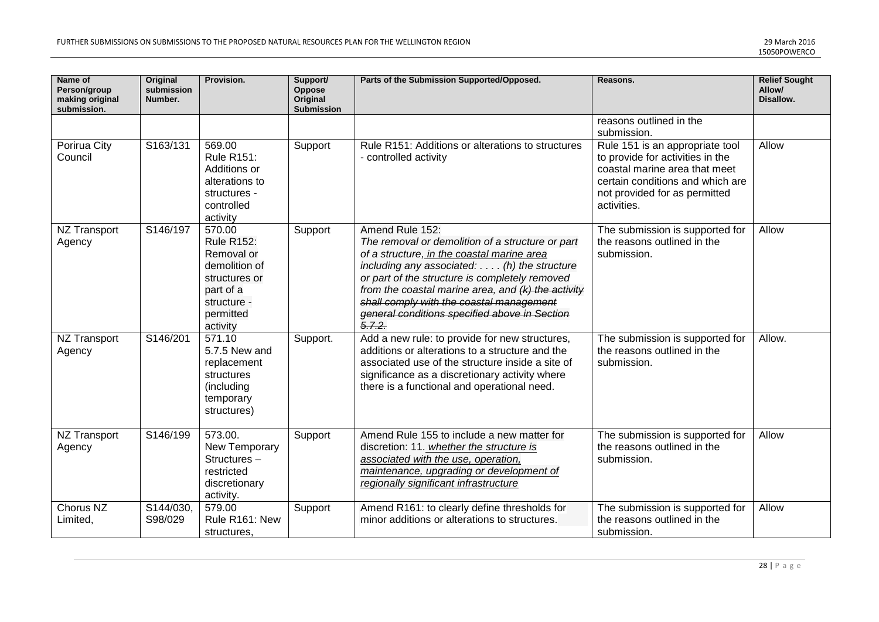| Name of<br>Person/group<br>making original<br>submission. | <b>Original</b><br>submission<br>Number. | Provision.                                                                                                                       | Support/<br>Oppose<br>Original<br><b>Submission</b> | Parts of the Submission Supported/Opposed.                                                                                                                                                                                                                                                                                                                                                | Reasons.                                                                                                                                                                                 | <b>Relief Sought</b><br>Allow/<br>Disallow. |
|-----------------------------------------------------------|------------------------------------------|----------------------------------------------------------------------------------------------------------------------------------|-----------------------------------------------------|-------------------------------------------------------------------------------------------------------------------------------------------------------------------------------------------------------------------------------------------------------------------------------------------------------------------------------------------------------------------------------------------|------------------------------------------------------------------------------------------------------------------------------------------------------------------------------------------|---------------------------------------------|
|                                                           |                                          |                                                                                                                                  |                                                     |                                                                                                                                                                                                                                                                                                                                                                                           | reasons outlined in the<br>submission.                                                                                                                                                   |                                             |
| Porirua City<br>Council                                   | S163/131                                 | 569.00<br><b>Rule R151:</b><br>Additions or<br>alterations to<br>structures -<br>controlled<br>activity                          | Support                                             | Rule R151: Additions or alterations to structures<br>- controlled activity                                                                                                                                                                                                                                                                                                                | Rule 151 is an appropriate tool<br>to provide for activities in the<br>coastal marine area that meet<br>certain conditions and which are<br>not provided for as permitted<br>activities. | Allow                                       |
| NZ Transport<br>Agency                                    | S146/197                                 | 570.00<br><b>Rule R152:</b><br>Removal or<br>demolition of<br>structures or<br>part of a<br>structure -<br>permitted<br>activity | Support                                             | Amend Rule 152:<br>The removal or demolition of a structure or part<br>of a structure, in the coastal marine area<br>including any associated: $\dots$ (h) the structure<br>or part of the structure is completely removed<br>from the coastal marine area, and $(k)$ the activity<br>shall comply with the coastal management<br>general conditions specified above in Section<br>5.7.2. | The submission is supported for<br>the reasons outlined in the<br>submission.                                                                                                            | Allow                                       |
| <b>NZ Transport</b><br>Agency                             | S146/201                                 | 571.10<br>5.7.5 New and<br>replacement<br>structures<br>(including<br>temporary<br>structures)                                   | Support.                                            | Add a new rule: to provide for new structures,<br>additions or alterations to a structure and the<br>associated use of the structure inside a site of<br>significance as a discretionary activity where<br>there is a functional and operational need.                                                                                                                                    | The submission is supported for<br>the reasons outlined in the<br>submission.                                                                                                            | Allow.                                      |
| <b>NZ Transport</b><br>Agency                             | S146/199                                 | 573.00.<br>New Temporary<br>Structures-<br>restricted<br>discretionary<br>activity.                                              | Support                                             | Amend Rule 155 to include a new matter for<br>discretion: 11. whether the structure is<br>associated with the use, operation,<br>maintenance, upgrading or development of<br>regionally significant infrastructure                                                                                                                                                                        | The submission is supported for<br>the reasons outlined in the<br>submission.                                                                                                            | Allow                                       |
| Chorus NZ<br>Limited,                                     | S144/030,<br>S98/029                     | 579.00<br>Rule R161: New<br>structures,                                                                                          | Support                                             | Amend R161: to clearly define thresholds for<br>minor additions or alterations to structures.                                                                                                                                                                                                                                                                                             | The submission is supported for<br>the reasons outlined in the<br>submission.                                                                                                            | Allow                                       |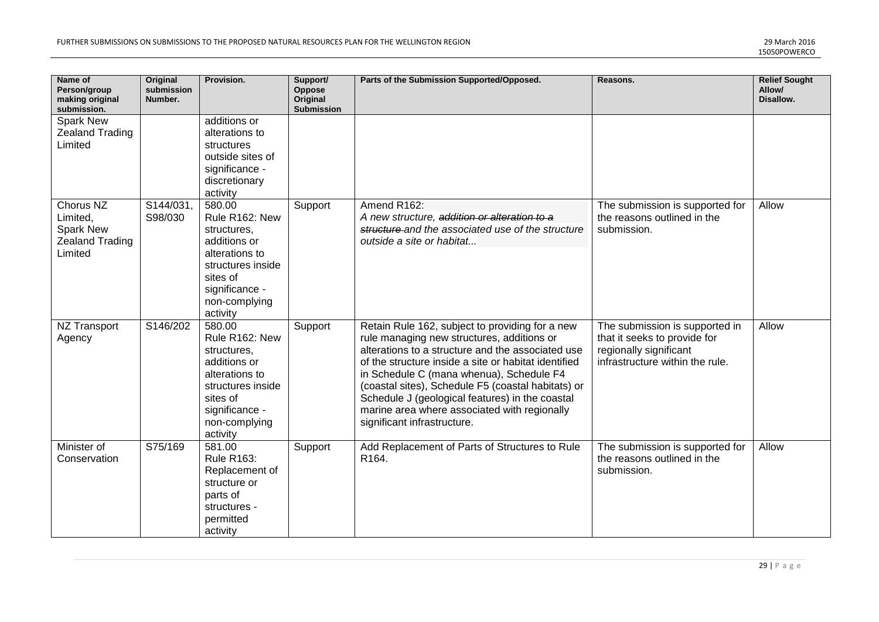| Name of<br>Person/group<br>making original<br>submission.               | <b>Original</b><br>submission<br>Number. | Provision.                                                                                                                                                | Support/<br>Oppose<br>Original<br><b>Submission</b> | Parts of the Submission Supported/Opposed.                                                                                                                                                                                                                                                                                                                                                                                                     | Reasons.                                                                                                                    | <b>Relief Sought</b><br>Allow/<br>Disallow. |
|-------------------------------------------------------------------------|------------------------------------------|-----------------------------------------------------------------------------------------------------------------------------------------------------------|-----------------------------------------------------|------------------------------------------------------------------------------------------------------------------------------------------------------------------------------------------------------------------------------------------------------------------------------------------------------------------------------------------------------------------------------------------------------------------------------------------------|-----------------------------------------------------------------------------------------------------------------------------|---------------------------------------------|
| Spark New<br><b>Zealand Trading</b><br>Limited                          |                                          | additions or<br>alterations to<br>structures<br>outside sites of<br>significance -<br>discretionary<br>activity                                           |                                                     |                                                                                                                                                                                                                                                                                                                                                                                                                                                |                                                                                                                             |                                             |
| Chorus NZ<br>Limited,<br>Spark New<br><b>Zealand Trading</b><br>Limited | S144/031,<br>S98/030                     | 580.00<br>Rule R162: New<br>structures,<br>additions or<br>alterations to<br>structures inside<br>sites of<br>significance -<br>non-complying<br>activity | Support                                             | Amend R162:<br>A new structure, addition or alteration to a<br>structure and the associated use of the structure<br>outside a site or habitat                                                                                                                                                                                                                                                                                                  | The submission is supported for<br>the reasons outlined in the<br>submission.                                               | Allow                                       |
| <b>NZ Transport</b><br>Agency                                           | S146/202                                 | 580.00<br>Rule R162: New<br>structures,<br>additions or<br>alterations to<br>structures inside<br>sites of<br>significance -<br>non-complying<br>activity | Support                                             | Retain Rule 162, subject to providing for a new<br>rule managing new structures, additions or<br>alterations to a structure and the associated use<br>of the structure inside a site or habitat identified<br>in Schedule C (mana whenua), Schedule F4<br>(coastal sites), Schedule F5 (coastal habitats) or<br>Schedule J (geological features) in the coastal<br>marine area where associated with regionally<br>significant infrastructure. | The submission is supported in<br>that it seeks to provide for<br>regionally significant<br>infrastructure within the rule. | Allow                                       |
| Minister of<br>Conservation                                             | S75/169                                  | 581.00<br><b>Rule R163:</b><br>Replacement of<br>structure or<br>parts of<br>structures -<br>permitted<br>activity                                        | Support                                             | Add Replacement of Parts of Structures to Rule<br>R164.                                                                                                                                                                                                                                                                                                                                                                                        | The submission is supported for<br>the reasons outlined in the<br>submission.                                               | Allow                                       |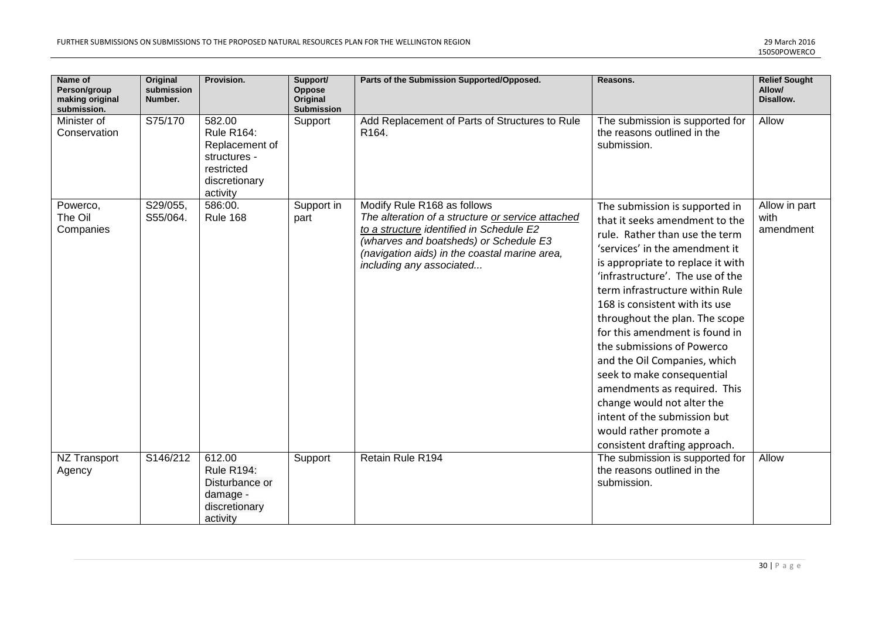| Name of<br>Person/group<br>making original<br>submission. | <b>Original</b><br>submission<br>Number. | Provision.                                                                                               | Support/<br>Oppose<br>Original<br>Submission | Parts of the Submission Supported/Opposed.                                                                                                                                                                                                          | Reasons.                                                                                                                                                                                                                                                                                                                                                                                                                                                                                                                                                                                                    | <b>Relief Sought</b><br>Allow/<br>Disallow. |
|-----------------------------------------------------------|------------------------------------------|----------------------------------------------------------------------------------------------------------|----------------------------------------------|-----------------------------------------------------------------------------------------------------------------------------------------------------------------------------------------------------------------------------------------------------|-------------------------------------------------------------------------------------------------------------------------------------------------------------------------------------------------------------------------------------------------------------------------------------------------------------------------------------------------------------------------------------------------------------------------------------------------------------------------------------------------------------------------------------------------------------------------------------------------------------|---------------------------------------------|
| Minister of<br>Conservation                               | S75/170                                  | 582.00<br><b>Rule R164:</b><br>Replacement of<br>structures -<br>restricted<br>discretionary<br>activity | Support                                      | Add Replacement of Parts of Structures to Rule<br>R164.                                                                                                                                                                                             | The submission is supported for<br>the reasons outlined in the<br>submission.                                                                                                                                                                                                                                                                                                                                                                                                                                                                                                                               | Allow                                       |
| Powerco,<br>The Oil<br>Companies                          | S29/055,<br>S55/064.                     | 586:00.<br><b>Rule 168</b>                                                                               | Support in<br>part                           | Modify Rule R168 as follows<br>The alteration of a structure or service attached<br>to a structure identified in Schedule E2<br>(wharves and boatsheds) or Schedule E3<br>(navigation aids) in the coastal marine area,<br>including any associated | The submission is supported in<br>that it seeks amendment to the<br>rule. Rather than use the term<br>'services' in the amendment it<br>is appropriate to replace it with<br>'infrastructure'. The use of the<br>term infrastructure within Rule<br>168 is consistent with its use<br>throughout the plan. The scope<br>for this amendment is found in<br>the submissions of Powerco<br>and the Oil Companies, which<br>seek to make consequential<br>amendments as required. This<br>change would not alter the<br>intent of the submission but<br>would rather promote a<br>consistent drafting approach. | Allow in part<br>with<br>amendment          |
| NZ Transport<br>Agency                                    | S146/212                                 | 612.00<br><b>Rule R194:</b><br>Disturbance or<br>damage -<br>discretionary<br>activity                   | Support                                      | Retain Rule R194                                                                                                                                                                                                                                    | The submission is supported for<br>the reasons outlined in the<br>submission.                                                                                                                                                                                                                                                                                                                                                                                                                                                                                                                               | Allow                                       |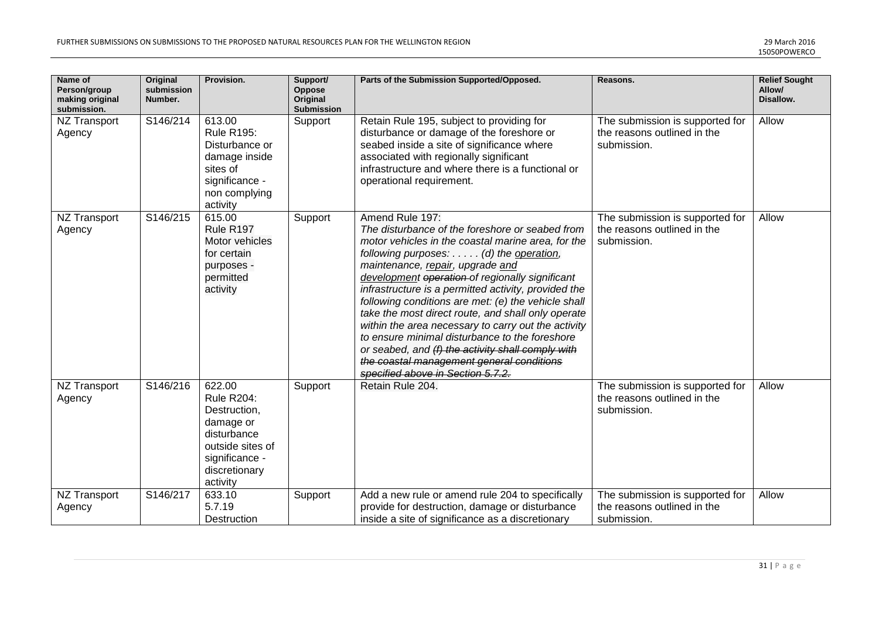| Name of<br>Person/group<br>making original<br>submission. | <b>Original</b><br>submission<br>Number. | Provision.                                                                                                                                 | Support/<br>Oppose<br>Original<br><b>Submission</b> | Parts of the Submission Supported/Opposed.                                                                                                                                                                                                                                                                                                                                                                                                                                                                                                                                                                                                                                     | Reasons.                                                                      | <b>Relief Sought</b><br>Allow/<br>Disallow. |
|-----------------------------------------------------------|------------------------------------------|--------------------------------------------------------------------------------------------------------------------------------------------|-----------------------------------------------------|--------------------------------------------------------------------------------------------------------------------------------------------------------------------------------------------------------------------------------------------------------------------------------------------------------------------------------------------------------------------------------------------------------------------------------------------------------------------------------------------------------------------------------------------------------------------------------------------------------------------------------------------------------------------------------|-------------------------------------------------------------------------------|---------------------------------------------|
| NZ Transport<br>Agency                                    | S146/214                                 | 613.00<br><b>Rule R195:</b><br>Disturbance or<br>damage inside<br>sites of<br>significance -<br>non complying<br>activity                  | Support                                             | Retain Rule 195, subject to providing for<br>disturbance or damage of the foreshore or<br>seabed inside a site of significance where<br>associated with regionally significant<br>infrastructure and where there is a functional or<br>operational requirement.                                                                                                                                                                                                                                                                                                                                                                                                                | The submission is supported for<br>the reasons outlined in the<br>submission. | Allow                                       |
| <b>NZ Transport</b><br>Agency                             | S146/215                                 | 615.00<br>Rule R197<br>Motor vehicles<br>for certain<br>purposes -<br>permitted<br>activity                                                | Support                                             | Amend Rule 197:<br>The disturbance of the foreshore or seabed from<br>motor vehicles in the coastal marine area, for the<br>following purposes: (d) the operation,<br>maintenance, repair, upgrade and<br>development operation of regionally significant<br>infrastructure is a permitted activity, provided the<br>following conditions are met: (e) the vehicle shall<br>take the most direct route, and shall only operate<br>within the area necessary to carry out the activity<br>to ensure minimal disturbance to the foreshore<br>or seabed, and (f) the activity shall comply with<br>the coastal management general conditions<br>specified above in Section 5.7.2. | The submission is supported for<br>the reasons outlined in the<br>submission. | Allow                                       |
| <b>NZ Transport</b><br>Agency                             | S146/216                                 | 622.00<br><b>Rule R204:</b><br>Destruction,<br>damage or<br>disturbance<br>outside sites of<br>significance -<br>discretionary<br>activity | Support                                             | Retain Rule 204.                                                                                                                                                                                                                                                                                                                                                                                                                                                                                                                                                                                                                                                               | The submission is supported for<br>the reasons outlined in the<br>submission. | Allow                                       |
| <b>NZ Transport</b><br>Agency                             | S146/217                                 | 633.10<br>5.7.19<br>Destruction                                                                                                            | Support                                             | Add a new rule or amend rule 204 to specifically<br>provide for destruction, damage or disturbance<br>inside a site of significance as a discretionary                                                                                                                                                                                                                                                                                                                                                                                                                                                                                                                         | The submission is supported for<br>the reasons outlined in the<br>submission. | Allow                                       |